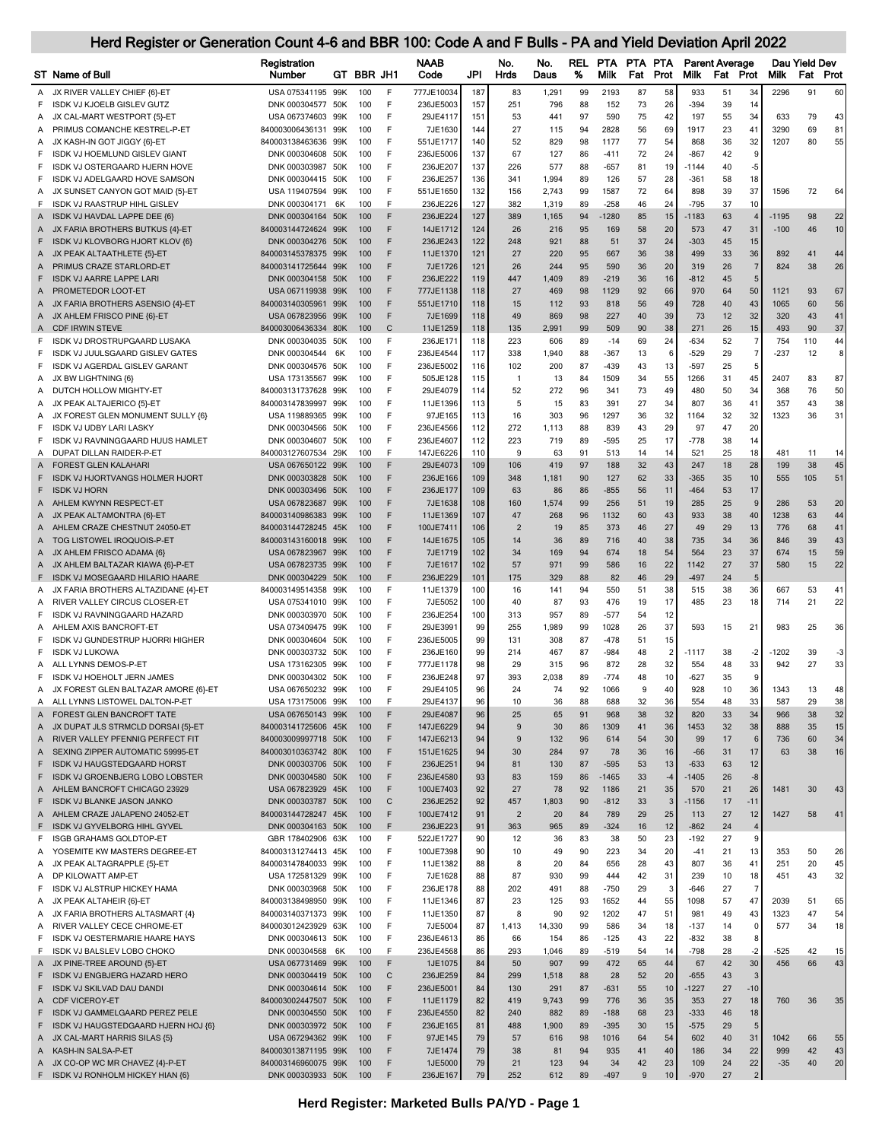|         | Herd Register or Generation Count 4-6 and BBR 100: Code A and F Bulls - PA and Yield Deviation April 2022 |                                            |            |                   |                        |            |                       |              |                 |                    |          |                       |                   |                                   |                       |                |                      |            |
|---------|-----------------------------------------------------------------------------------------------------------|--------------------------------------------|------------|-------------------|------------------------|------------|-----------------------|--------------|-----------------|--------------------|----------|-----------------------|-------------------|-----------------------------------|-----------------------|----------------|----------------------|------------|
|         | <b>ST</b> Name of Bull                                                                                    | Registration<br>Number                     | GT BBR JH1 |                   | <b>NAAB</b><br>Code    | JPI        | No.<br><b>Hrds</b>    | No.<br>Daus  | <b>REL</b><br>% | PTA<br><b>Milk</b> | Fat      | PTA PTA<br>Prot       | <b>Milk</b>       | <b>Parent Average</b><br>Fat Prot |                       | <b>Milk</b>    | Dau Yield Dev<br>Fat | Prot       |
|         | JX RIVER VALLEY CHIEF {6}-ET                                                                              | USA 075341195 99K                          | 100        | F                 | 777JE10034             | 187        | 83                    | 1,291        | 99              | 2193               | 87       | 58                    | 933               | 51                                | 34                    | 2296           | 91                   | 60         |
| Α<br>F  | ISDK VJ KJOELB GISLEV GUTZ                                                                                | DNK 000304577 50K                          | 100        | F                 | 236JE5003              | 157        | 251                   | 796          | 88              | 152                | 73       | 26                    | $-394$            | 39                                | 14                    |                |                      |            |
| Α       | JX CAL-MART WESTPORT {5}-ET                                                                               | USA 067374603 99K                          | 100        | F                 | 29JE4117               | 151        | 53                    | 441          | 97              | 590                | 75       | 42                    | 197               | 55                                | 34                    | 633            | 79                   | 43         |
| A       | PRIMUS COMANCHE KESTREL-P-ET                                                                              | 840003006436131 99K                        | 100        | F                 | 7JE1630                | 144        | 27                    | 115          | 94              | 2828               | 56       | 69                    | 1917              | 23                                | 41                    | 3290           | 69                   | 81         |
| A       | JX KASH-IN GOT JIGGY {6}-ET                                                                               | 840003138463636 99K                        | 100        | F                 | 551JE1717              | 140        | 52                    | 829          | 98              | 1177               | 77       | 54                    | 868               | 36                                | 32                    | 1207           | 80                   | 55         |
| F<br>F  | ISDK VJ HOEMLUND GISLEV GIANT<br>ISDK VJ OSTERGAARD HJERN HOVE                                            | DNK 000304608 50K<br>DNK 000303987 50K     | 100<br>100 | F<br>F            | 236JE5006<br>236JE207  | 137<br>137 | 67<br>226             | 127<br>577   | 86<br>88        | $-411$<br>$-657$   | 72<br>81 | 24<br>19              | $-867$<br>$-1144$ | 42<br>40                          | 9<br>$-5$             |                |                      |            |
| F       | ISDK VJ ADELGAARD HOVE SAMSON                                                                             | DNK 000304415 50K                          | 100        | F                 | 236JE257               | 136        | 341                   | 1,994        | 89              | 126                | 57       | 28                    | $-361$            | 58                                | 18                    |                |                      |            |
| Α       | JX SUNSET CANYON GOT MAID {5}-ET                                                                          | USA 119407594 99K                          | 100        | F                 | 551JE1650              | 132        | 156                   | 2,743        | 99              | 1587               | 72       | 64                    | 898               | 39                                | 37                    | 1596           | 72                   | 64         |
| F       | ISDK VJ RAASTRUP HIHL GISLEV                                                                              | DNK 000304171 6K                           | 100        | F                 | 236JE226               | 127        | 382                   | 1,319        | 89              | $-258$             | 46       | 24                    | $-795$            | 37                                | 10                    |                |                      |            |
| A       | ISDK VJ HAVDAL LAPPE DEE {6}                                                                              | DNK 000304164 50K                          | 100        | F                 | 236JE224               | 127        | 389                   | 1,165        | 94              | $-1280$            | 85       | 15                    | $-1183$           | 63                                | $\overline{4}$        | $-1195$        | 98                   | 22         |
| Α       | JX FARIA BROTHERS BUTKUS {4}-ET                                                                           | 840003144724624 99K                        | 100        | F<br>F            | 14JE1712               | 124        | 26                    | 216          | 95              | 169                | 58       | 20                    | 573               | 47                                | 31                    | $-100$         | 46                   | 10         |
| F       | ISDK VJ KLOVBORG HJORT KLOV {6}<br>A JX PEAK ALTAATHLETE {5}-ET                                           | DNK 000304276 50K<br>840003145378375 99K   | 100<br>100 | F                 | 236JE243<br>11JE1370   | 122<br>121 | 248<br>27             | 921<br>220   | 88<br>95        | 51<br>667          | 37<br>36 | 24<br>38              | $-303$<br>499     | 45<br>33                          | 15<br>36              | 892            | 41                   | 44         |
| A       | PRIMUS CRAZE STARLORD-ET                                                                                  | 840003141725644 99K                        | 100        | F                 | 7JE1726                | 121        | 26                    | 244          | 95              | 590                | 36       | 20                    | 319               | 26                                | $\overline{7}$        | 824            | 38                   | 26         |
| F       | <b>ISDK VJ AARRE LAPPE LARI</b>                                                                           | DNK 000304158 50K                          | 100        | F                 | 236JE222               | 119        | 447                   | 1,409        | 89              | $-219$             | 36       | 16                    | $-812$            | 45                                | $5\phantom{.0}$       |                |                      |            |
| Α       | PROMETEDOR LOOT-ET                                                                                        | USA 067119938 99K                          | 100        | F                 | 777JE1138              | 118        | 27                    | 469          | 98              | 1129               | 92       | 66                    | 970               | 64                                | 50                    | 1121           | 93                   | 67         |
| A       | JX FARIA BROTHERS ASENSIO {4}-ET                                                                          | 840003140305961 99K                        | 100        | F                 | 551JE1710              | 118        | 15                    | 112          | 93              | 818                | 56       | 49                    | 728               | 40                                | 43                    | 1065           | 60                   | 56         |
|         | A JX AHLEM FRISCO PINE {6}-ET<br><b>CDF IRWIN STEVE</b>                                                   | USA 067823956 99K                          | 100<br>100 | F<br>$\mathsf{C}$ | 7JE1699                | 118<br>118 | 49<br>135             | 869<br>2,991 | 98<br>99        | 227<br>509         | 40<br>90 | 39<br>38              | 73<br>271         | 12<br>26                          | 32<br>15              | 320<br>493     | 43<br>90             | 41<br>37   |
| A<br>F  | ISDK VJ DROSTRUPGAARD LUSAKA                                                                              | 840003006436334 80K<br>DNK 000304035 50K   | 100        | F                 | 11JE1259<br>236JE171   | 118        | 223                   | 606          | 89              | $-14$              | 69       | 24                    | $-634$            | 52                                | $\overline{7}$        | 754            | 110                  | 44         |
| F       | ISDK VJ JUULSGAARD GISLEV GATES                                                                           | DNK 000304544 6K                           | 100        | F                 | 236JE4544              | 117        | 338                   | 1,940        | 88              | $-367$             | 13       | 6                     | $-529$            | 29                                | $\overline{7}$        | $-237$         | 12                   | 8          |
| F       | ISDK VJ AGERDAL GISLEV GARANT                                                                             | DNK 000304576 50K                          | 100        | F                 | 236JE5002              | 116        | 102                   | 200          | 87              | $-439$             | 43       | 13                    | $-597$            | 25                                | 5                     |                |                      |            |
| A       | JX BW LIGHTNING {6}                                                                                       | USA 173135567 99K                          | 100        | F.                | 505JE128               | 115        | $\mathbf{1}$          | 13           | 84              | 1509               | 34       | 55                    | 1266              | 31                                | 45                    | 2407           | 83                   | 87         |
| Α       | DUTCH HOLLOW MIGHTY-ET                                                                                    | 840003131737628 99K                        | 100        | F                 | 29JE4079               | 114        | 52                    | 272          | 96              | 341                | 73       | 49                    | 480               | 50                                | 34                    | 368            | 76                   | 50         |
| A       | JX PEAK ALTAJERICO {5}-ET                                                                                 | 840003147839997 99K                        | 100        | F<br>F            | 11JE1396<br>97JE165    | 113<br>113 | 5                     | 15           | 83              | 391<br>1297        | 27<br>36 | 34<br>32              | 807               | 36<br>32                          | 41<br>32              | 357<br>1323    | 43<br>36             | 38<br>31   |
| A<br>F  | JX FOREST GLEN MONUMENT SULLY {6}<br><b>ISDK VJ UDBY LARI LASKY</b>                                       | USA 119889365 99K<br>DNK 000304566 50K     | 100<br>100 | F                 | 236JE4566              | 112        | 16<br>272             | 303<br>1,113 | 96<br>88        | 839                | 43       | 29                    | 1164<br>97        | 47                                | 20                    |                |                      |            |
| F       | ISDK VJ RAVNINGGAARD HUUS HAMLET                                                                          | DNK 000304607 50K                          | 100        | F                 | 236JE4607              | 112        | 223                   | 719          | 89              | $-595$             | 25       | 17                    | $-778$            | 38                                | 14                    |                |                      |            |
| A       | DUPAT DILLAN RAIDER-P-ET                                                                                  | 840003127607534 29K                        | 100        | F                 | 147JE6226              | 110        | 9                     | 63           | 91              | 513                | 14       | 14                    | 521               | 25                                | 18                    | 481            | 11                   | 14         |
| A       | <b>FOREST GLEN KALAHARI</b>                                                                               | USA 067650122 99K                          | 100        | F                 | 29JE4073               | 109        | 106                   | 419          | 97              | 188                | 32       | 43                    | 247               | 18                                | 28                    | 199            | 38                   | 45         |
| F       | ISDK VJ HJORTVANGS HOLMER HJORT                                                                           | DNK 000303828 50K                          | 100        | F                 | 236JE166               | 109        | 348                   | 1,181        | 90              | 127                | 62       | 33                    | $-365$            | 35                                | 10                    | 555            | 105                  | 51         |
| F<br>A  | <b>ISDK VJ HORN</b><br>AHLEM KWYNN RESPECT-ET                                                             | DNK 000303496 50K<br>USA 067823687 99K     | 100<br>100 | F<br>F            | 236JE177<br>7JE1638    | 109<br>108 | 63<br>160             | 86<br>1,574  | 86<br>99        | $-855$<br>256      | 56<br>51 | 11<br>19              | $-464$<br>285     | 53<br>25                          | 17<br>$9\,$           | 286            | 53                   | 20         |
|         | A JX PEAK ALTAMONTRA {6}-ET                                                                               | 840003140986383 99K                        | 100        | F                 | 11JE1369               | 107        | 47                    | 268          | 96              | 1132               | 60       | 43                    | 933               | 38                                | 40                    | 1238           | 63                   | 44         |
|         | A AHLEM CRAZE CHESTNUT 24050-ET                                                                           | 840003144728245 45K                        | 100        | F                 | 100JE7411              | 106        | $\overline{2}$        | 19           | 85              | 373                | 46       | 27                    | 49                | 29                                | 13                    | 776            | 68                   | 41         |
| A       | TOG LISTOWEL IROQUOIS-P-ET                                                                                | 840003143160018 99K                        | 100        | F                 | 14JE1675               | 105        | 14                    | 36           | 89              | 716                | 40       | 38                    | 735               | 34                                | 36                    | 846            | 39                   | 43         |
| A       | JX AHLEM FRISCO ADAMA {6}                                                                                 | USA 067823967 99K                          | 100        | F                 | 7JE1719                | 102        | 34                    | 169          | 94              | 674                | 18       | 54                    | 564               | 23                                | 37                    | 674            | 15                   | 59         |
| A       | JX AHLEM BALTAZAR KIAWA {6}-P-ET                                                                          | USA 067823735 99K                          | 100        | F<br>F            | 7JE1617                | 102        | 57                    | 971          | 99              | 586                | 16       | 22                    | 1142              | 27                                | 37                    | 580            | 15                   | 22         |
| F.<br>A | ISDK VJ MOSEGAARD HILARIO HAARE<br>JX FARIA BROTHERS ALTAZIDANE {4}-ET                                    | DNK 000304229 50K<br>840003149514358 99K   | 100<br>100 | F                 | 236JE229<br>11JE1379   | 101<br>100 | 175<br>16             | 329<br>141   | 88<br>94        | 82<br>550          | 46<br>51 | 29<br>38              | $-497$<br>515     | 24<br>38                          | 5<br>36               | 667            | 53                   | 41         |
| Α       | RIVER VALLEY CIRCUS CLOSER-ET                                                                             | USA 075341010 99K                          | 100        | F                 | 7JE5052                | 100        | 40                    | 87           | 93              | 476                | 19       | 17                    | 485               | 23                                | 18                    | 714            | 21                   | 22         |
| F       | ISDK VJ RAVNINGGAARD HAZARD                                                                               | DNK 000303970 50K                          | 100        | F                 | 236JE254               | 100        | 313                   | 957          | 89              | $-577$             | 54       | 12                    |                   |                                   |                       |                |                      |            |
| Α       | AHLEM AXIS BANCROFT-ET                                                                                    | USA 073409475 99K                          | 100        | F                 | 29JE3991               | 99         | 255                   | 1,989        | 99              | 1028               | 26       | 37                    | 593               | 15                                | 21                    | 983            | 25                   | 36         |
| F       | ISDK VJ GUNDESTRUP HJORRI HIGHER                                                                          | DNK 000304604 50K                          | 100        | E                 | 236JE5005              | 99         | 131                   | 308          | 87              | $-478$             | 51       | 15                    |                   |                                   |                       |                |                      |            |
| F       | <b>ISDK VJ LUKOWA</b><br>A ALL LYNNS DEMOS-P-ET                                                           | DNK 000303732 50K<br>USA 173162305 99K     | 100<br>100 | E<br>F            | 236JE160<br>777JE1178  | 99<br>98   | 214<br>29             | 467<br>315   | 87<br>96        | $-984$<br>872      | 48<br>28 | 2<br>32               | $-1117$<br>554    | 38<br>48                          | -2<br>33              | $-1202$<br>942 | 39<br>27             | $-3$<br>33 |
|         | ISDK VJ HOEHOLT JERN JAMES                                                                                | DNK 000304302 50K                          | 100        |                   | 236JE248               | 97         | 393                   | 2.038        | 89              | $-774$             | 48       | 10                    | $-627$            | 35                                |                       |                |                      |            |
| A       | JX FOREST GLEN BALTAZAR AMORE {6}-ET                                                                      | USA 067650232 99K                          | 100        | F                 | 29JE4105               | 96         | 24                    | 74           | 92              | 1066               | 9        | 40                    | 928               | 10                                | 36                    | 1343           | 13                   | 48         |
| Α       | ALL LYNNS LISTOWEL DALTON-P-ET                                                                            | USA 173175006 99K                          | 100        | E                 | 29JE4137               | 96         | 10                    | 36           | 88              | 688                | 32       | 36                    | 554               | 48                                | 33                    | 587            | 29                   | 38         |
| A       | FOREST GLEN BANCROFT TATE                                                                                 | USA 067650143 99K                          | 100        | F                 | 29JE4087               | 96         | 25                    | 65           | 91              | 968                | 38       | 32                    | 820               | 33                                | 34                    | 966            | 38                   | 32         |
|         | A JX DUPAT JLS STRMCLD DORSAI {5}-ET                                                                      | 840003141725606 45K                        | 100        | F<br>F            | 147JE6229              | 94         | 9                     | 30           | 86              | 1309               | 41       | 36                    | 1453              | 32                                | 38                    | 888            | 35                   | 15         |
| Α<br>A  | RIVER VALLEY PFENNIG PERFECT FIT<br>SEXING ZIPPER AUTOMATIC 59995-ET                                      | 840003009997718 50K<br>840003010363742 80K | 100<br>100 | F                 | 147JE6213<br>151JE1625 | 94<br>94   | 9<br>30               | 132<br>284   | 96<br>97        | 614<br>78          | 54<br>36 | 30<br>16              | 99<br>$-66$       | 17<br>31                          | 6<br>17               | 736<br>63      | 60<br>38             | 34<br>16   |
| F       | <b>ISDK VJ HAUGSTEDGAARD HORST</b>                                                                        | DNK 000303706 50K                          | 100        | F                 | 236JE251               | 94         | 81                    | 130          | 87              | $-595$             | 53       | 13                    | $-633$            | 63                                | 12                    |                |                      |            |
| F       | <b>ISDK VJ GROENBJERG LOBO LOBSTER</b>                                                                    | DNK 000304580 50K                          | 100        | F                 | 236JE4580              | 93         | 83                    | 159          | 86              | $-1465$            | 33       | $-4$                  | $-1405$           | 26                                | $-8$                  |                |                      |            |
| Α       | AHLEM BANCROFT CHICAGO 23929                                                                              | USA 067823929 45K                          | 100        | F                 | 100JE7403              | 92         | 27                    | 78           | 92              | 1186               | 21       | 35                    | 570               | 21                                | 26                    | 1481           | 30                   | 43         |
| F       | ISDK VJ BLANKE JASON JANKO                                                                                | DNK 000303787 50K                          | 100        | С                 | 236JE252               | 92         | 457                   | 1,803        | 90              | $-812$             | 33       | 3                     | $-1156$           | 17                                | $-11$                 |                |                      |            |
| A<br>F  | AHLEM CRAZE JALAPENO 24052-ET<br>ISDK VJ GYVELBORG HIHL GYVEL                                             | 840003144728247 45K<br>DNK 000304163 50K   | 100<br>100 | F<br>F            | 100JE7412<br>236JE223  | 91<br>91   | $\overline{2}$<br>363 | 20<br>965    | 84<br>89        | 789<br>$-324$      | 29<br>16 | 25<br>12              | 113<br>$-862$     | 27<br>24                          | 12<br>$\overline{4}$  | 1427           | 58                   | 41         |
| F       | <b>ISGB GRAHAMS GOLDTOP-ET</b>                                                                            | GBR 178402906 63K                          | 100        | F                 | 522JE1727              | 90         | 12                    | 36           | 83              | 38                 | 50       | 23                    | $-192$            | 27                                | 9                     |                |                      |            |
| Α       | YOSEMITE KW MASTERS DEGREE-ET                                                                             | 840003131274413 45K                        | 100        | F                 | 100JE7398              | 90         | 10                    | 49           | 90              | 223                | 34       | 20                    | $-41$             | 21                                | 13                    | 353            | 50                   | 26         |
| A       | JX PEAK ALTAGRAPPLE {5}-ET                                                                                | 840003147840033 99K                        | 100        | F                 | 11JE1382               | 88         | 8                     | 20           | 84              | 656                | 28       | 43                    | 807               | 36                                | 41                    | 251            | 20                   | 45         |
| Α       | DP KILOWATT AMP-ET                                                                                        | USA 172581329 99K                          | 100        | F                 | 7JE1628                | 88         | 87                    | 930          | 99              | 444                | 42       | 31                    | 239               | 10                                | 18                    | 451            | 43                   | 32         |
| F       | <b>ISDK VJ ALSTRUP HICKEY HAMA</b>                                                                        | DNK 000303968 50K                          | 100        | F<br>F            | 236JE178               | 88<br>87   | 202<br>23             | 491<br>125   | 88<br>93        | $-750$<br>1652     | 29       | 3<br>55               | $-646$<br>1098    | 27<br>57                          | $\overline{7}$<br>47  | 2039           |                      |            |
| A<br>Α  | JX PEAK ALTAHEIR {6}-ET<br>JX FARIA BROTHERS ALTASMART {4}                                                | 840003138498950 99K<br>840003140371373 99K | 100<br>100 | F                 | 11JE1346<br>11JE1350   | 87         | 8                     | 90           | 92              | 1202               | 44<br>47 | 51                    | 981               | 49                                | 43                    | 1323           | 51<br>47             | 65<br>54   |
| Α       | RIVER VALLEY CECE CHROME-ET                                                                               | 840003012423929 63K                        | 100        | F                 | 7JE5004                | 87         | 1,413                 | 14,330       | 99              | 586                | 34       | 18                    | $-137$            | 14                                | 0                     | 577            | 34                   | 18         |
| F       | ISDK VJ OESTERMARIE HAARE HAYS                                                                            | DNK 000304613 50K                          | 100        | F                 | 236JE4613              | 86         | 66                    | 154          | 86              | $-125$             | 43       | 22                    | -832              | 38                                | 8                     |                |                      |            |
| F       | ISDK VJ BALSLEV LOBO CHOKO                                                                                | DNK 000304568 6K                           | 100        | F                 | 236JE4568              | 86         | 293                   | 1,046        | 89              | $-519$             | 54       | 14                    | $-798$            | 28                                | $-2$                  | $-525$         | 42                   | 15         |
| A       | JX PINE-TREE AROUND {5}-ET                                                                                | USA 067731469 99K                          | 100        | F                 | 1JE1075                | 84         | 50                    | 907          | 99              | 472                | 65       | 44                    | 67                | 42                                | 30                    | 456            | 66                   | 43         |
| F<br>F  | ISDK VJ ENGBJERG HAZARD HERO<br><b>ISDK VJ SKILVAD DAU DANDI</b>                                          | DNK 000304419 50K<br>DNK 000304614 50K     | 100<br>100 | C<br>F.           | 236JE259<br>236JE5001  | 84<br>84   | 299<br>130            | 1,518<br>291 | 88<br>87        | 28<br>$-631$       | 52<br>55 | 20<br>10              | $-655$<br>$-1227$ | 43<br>27                          | $\mathbf{3}$<br>$-10$ |                |                      |            |
| Α       | <b>CDF VICEROY-ET</b>                                                                                     | 840003002447507 50K                        | 100        | F.                | 11JE1179               | 82         | 419                   | 9,743        | 99              | 776                | 36       | 35                    | 353               | 27                                | 18                    | 760            | 36                   | 35         |
| F       | ISDK VJ GAMMELGAARD PEREZ PELE                                                                            | DNK 000304550 50K                          | 100        | F                 | 236JE4550              | 82         | 240                   | 882          | 89              | $-188$             | 68       | 23                    | $-333$            | 46                                | 18                    |                |                      |            |
| F       | ISDK VJ HAUGSTEDGAARD HJERN HOJ {6}                                                                       | DNK 000303972 50K                          | 100        | F                 | 236JE165               | 81         | 488                   | 1,900        | 89              | $-395$             | 30       | 15                    | $-575$            | 29                                | 5                     |                |                      |            |
|         | A JX CAL-MART HARRIS SILAS {5}                                                                            | USA 067294362 99K                          | 100        | F                 | 97JE145                | 79         | 57                    | 616          | 98              | 1016               | 64       | 54                    | 602               | 40                                | 31                    | 1042           | 66                   | 55         |
| Α       | KASH-IN SALSA-P-ET                                                                                        | 840003013871195 99K                        | 100        | F                 | 7JE1474                | 79         | 38                    | 81           | 94              | 935                | 41       | 40                    | 186               | 34                                | 22                    | 999            | 42                   | 43         |
| A       | JX CO-OP WC MR CHAVEZ {4}-P-ET<br>F ISDK VJ RONHOLM HICKEY HIAN {6}                                       | 840003146960075 99K<br>DNK 000303933 50K   | 100<br>100 | F<br>F            | 1JE5000<br>236JE167    | 79<br>79   | 21<br>252             | 123<br>612   | 94<br>89        | 34<br>$-497$       | 42<br>9  | 23<br>10 <sub>1</sub> | 109<br>$-970$     | 24<br>27                          | 22<br>$\overline{c}$  | $-35$          | 40                   | 20         |
|         |                                                                                                           |                                            |            |                   |                        |            |                       |              |                 |                    |          |                       |                   |                                   |                       |                |                      |            |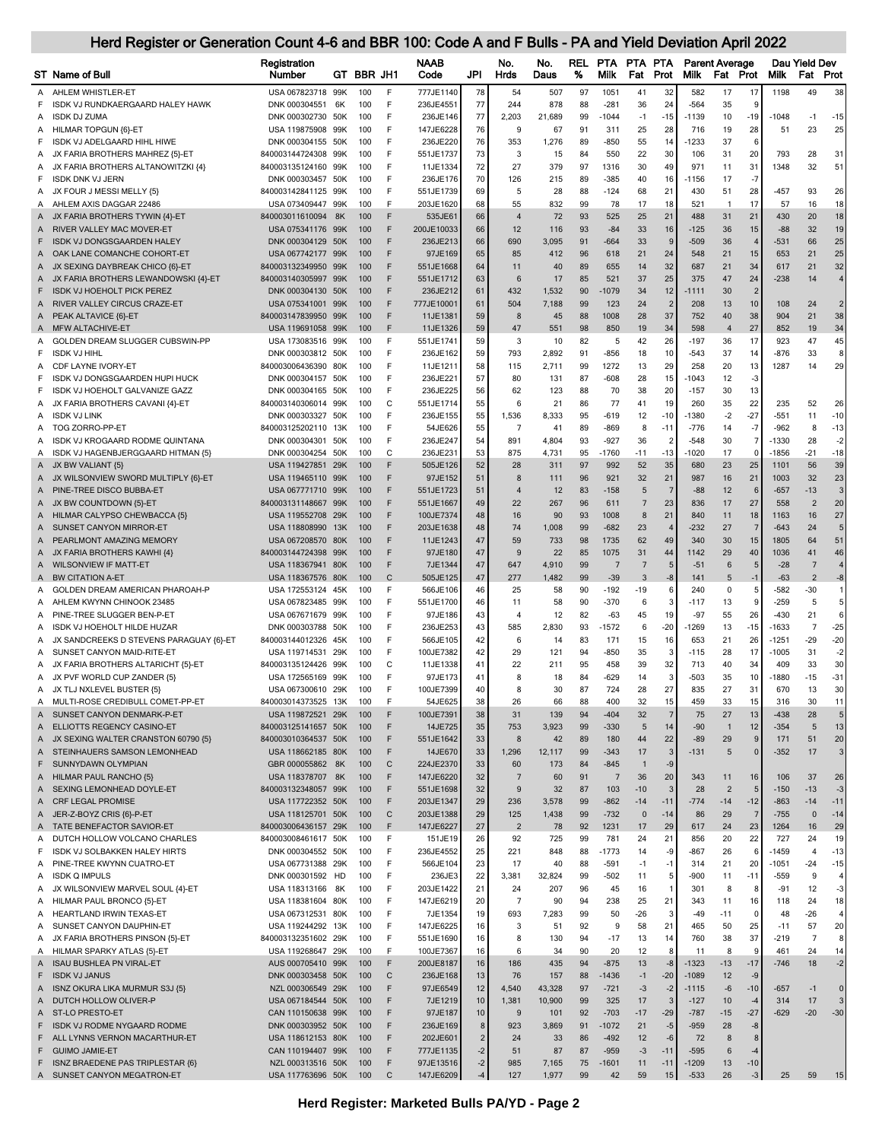|        | ST Name of Bull                                                         | Registration<br>Number                   |     | GT BBR JH1 |                   | <b>NAAB</b><br>Code    | JPI            | No.<br>Hrds             | No.<br>Daus  | REL<br>% | <b>PTA</b><br>Milk    | PTA PTA<br>Fat | Prot           | <b>Parent Average</b><br><b>Milk</b> | Fat                  | Prot           | <b>Milk</b>       | Dau Yield Dev<br>Fat | Prot                     |
|--------|-------------------------------------------------------------------------|------------------------------------------|-----|------------|-------------------|------------------------|----------------|-------------------------|--------------|----------|-----------------------|----------------|----------------|--------------------------------------|----------------------|----------------|-------------------|----------------------|--------------------------|
| A      | AHLEM WHISTLER-ET                                                       | USA 067823718 99K                        |     | 100        | F                 | 777JE1140              | 78             | 54                      | 507          | 97       | 1051                  | 41             | 32             | 582                                  | 17                   | 17             | 1198              | 49                   | 38                       |
| F      | ISDK VJ RUNDKAERGAARD HALEY HAWK                                        | DNK 000304551                            | 6K  | 100        | F                 | 236JE4551              | 77             | 244                     | 878          | 88       | $-281$                | 36             | 24             | $-564$                               | 35                   | 9              |                   |                      |                          |
| А      | <b>ISDK DJ ZUMA</b>                                                     | DNK 000302730 50K                        |     | 100        | F                 | 236JE146               | 77             | 2,203                   | 21,689       | 99       | $-1044$               | $-1$           | $-15$          | -1139                                | 10                   | $-19$          | $-1048$           | $-1$                 | $-15$                    |
|        | A HILMAR TOPGUN {6}-ET                                                  | USA 119875908 99K                        |     | 100        | F                 | 147JE6228              | 76             | 9                       | 67           | 91       | 311                   | 25             | 28             | 716                                  | 19                   | 28             | 51                | 23                   | 25                       |
| F      | ISDK VJ ADELGAARD HIHL HIWE                                             | DNK 000304155 50K                        |     | 100        | F                 | 236JE220               | 76             | 353                     | 1,276        | 89       | $-850$                | 55             | 14             | -1233                                | 37                   | 6              |                   |                      |                          |
| Α      | JX FARIA BROTHERS MAHREZ {5}-ET                                         | 840003144724308 99K                      |     | 100        | F                 | 551JE1737              | 73             | 3                       | 15           | 84       | 550                   | 22             | 30             | 106                                  | 31                   | 20             | 793               | 28                   | 31                       |
| A      | JX FARIA BROTHERS ALTANOWITZKI {4}                                      | 840003135124160 99K                      |     | 100        | F                 | 11JE1334               | 72             | 27                      | 379          | 97       | 1316                  | 30             | 49             | 971                                  | 11                   | 31             | 1348              | 32                   | 51                       |
| F      | <b>ISDK DNK VJ JERN</b>                                                 | DNK 000303457 50K                        |     | 100        | F                 | 236JE176               | 70             | 126                     | 215          | 89       | $-385$                | 40             | 16             | -1156                                | 17                   | $-7$           |                   |                      |                          |
| Α      | JX FOUR J MESSI MELLY {5}                                               | 840003142841125 99K                      |     | 100        | F                 | 551JE1739              | 69             | 5                       | 28           | 88       | $-124$                | 68             | 21             | 430                                  | 51                   | 28             | $-457$            | 93                   | 26                       |
| A      | AHLEM AXIS DAGGAR 22486                                                 | USA 073409447 99K                        |     | 100        | F                 | 203JE1620              | 68             | 55                      | 832          | 99       | 78                    | 17             | 18             | 521                                  | $\overline{1}$       | 17             | 57                | 16                   | 18                       |
|        | A JX FARIA BROTHERS TYWIN {4}-ET                                        | 840003011610094 8K                       |     | 100        | F                 | 535JE61                | 66             | $\overline{4}$          | 72           | 93       | 525                   | 25             | 21             | 488                                  | 31                   | 21             | 430               | 20                   | 18                       |
| A      | RIVER VALLEY MAC MOVER-ET                                               | USA 075341176 99K                        |     | 100        | F                 | 200JE10033             | 66             | 12                      | 116          | 93       | $-84$                 | 33             | 16             | $-125$                               | 36                   | 15             | $-88$             | 32                   | 19                       |
| F      | <b>ISDK VJ DONGSGAARDEN HALEY</b>                                       | DNK 000304129 50K                        |     | 100        | F                 | 236JE213               | 66             | 690                     | 3,095        | 91       | $-664$                | 33             | 9              | $-509$                               | 36                   | $\overline{4}$ | $-531$            | 66                   | 25                       |
| Α      | OAK LANE COMANCHE COHORT-ET                                             | USA 067742177 99K<br>840003132349950 99K |     | 100<br>100 | F<br>F            | 97JE169                | 65<br>64       | 85<br>11                | 412<br>40    | 96<br>89 | 618<br>655            | 21             | 24<br>32       | 548<br>687                           | 21<br>21             | 15<br>34       | 653<br>617        | 21<br>21             | 25<br>32                 |
| A<br>Α | JX SEXING DAYBREAK CHICO {6}-ET<br>JX FARIA BROTHERS LEWANDOWSKI {4}-ET | 840003140305997 99K                      |     | 100        | F                 | 551JE1668<br>551JE1712 | 63             | 6                       | 17           | 85       | 521                   | 14<br>37       | 25             | 375                                  | 47                   | 24             | $-238$            | 14                   | $\overline{4}$           |
| F      | <b>ISDK VJ HOEHOLT PICK PEREZ</b>                                       | DNK 000304130 50K                        |     | 100        | F                 | 236JE212               | 61             | 432                     | 1,532        | 90       | 1079                  | 34             | 12             | $-1111$                              | 30                   | $\overline{2}$ |                   |                      |                          |
| Α      | RIVER VALLEY CIRCUS CRAZE-ET                                            | USA 075341001 99K                        |     | 100        | F                 | 777JE10001             | 61             | 504                     | 7,188        | 99       | 123                   | 24             | $\overline{c}$ | 208                                  | 13                   | 10             | 108               | 24                   | $\overline{\phantom{0}}$ |
| Α      | PEAK ALTAVICE {6}-ET                                                    | 840003147839950 99K                      |     | 100        | F                 | 11JE138                | 59             | 8                       | 45           | 88       | 1008                  | 28             | 37             | 752                                  | 40                   | 38             | 904               | 21                   | 38                       |
| A      | MFW ALTACHIVE-ET                                                        | USA 119691058 99K                        |     | 100        | F                 | 11JE1326               | 59             | 47                      | 551          | 98       | 850                   | 19             | 34             | 598                                  | $\overline{4}$       | 27             | 852               | 19                   | 34                       |
| A      | GOLDEN DREAM SLUGGER CUBSWIN-PP                                         | USA 173083516 99K                        |     | 100        | F                 | 551JE1741              | 59             | 3                       | 10           | 82       | 5                     | 42             | 26             | -197                                 | 36                   | 17             | 923               | 47                   | 45                       |
| F      | <b>ISDK VJ HIHL</b>                                                     | DNK 000303812 50K                        |     | 100        | F                 | 236JE162               | 59             | 793                     | 2,892        | 91       | $-856$                | 18             | 10             | $-543$                               | 37                   | 14             | $-876$            | 33                   | 8                        |
| A      | CDF LAYNE IVORY-ET                                                      | 840003006436390 80K                      |     | 100        | F                 | 11JE1211               | 58             | 115                     | 2,711        | 99       | 1272                  | 13             | 29             | 258                                  | 20                   | 13             | 1287              | 14                   | 29                       |
| F      | ISDK VJ DONGSGAARDEN HUPI HUCK                                          | DNK 000304157 50K                        |     | 100        | F                 | 236JE22                | 57             | 80                      | 131          | 87       | $-608$                | 28             | 15             | $-1043$                              | 12                   | $-3$           |                   |                      |                          |
| F      | ISDK VJ HOEHOLT GALVANIZE GAZZ                                          | DNK 000304165 50K                        |     | 100        | F                 | 236JE225               | 56             | 62                      | 123          | 88       | 70                    | 38             | 20             | $-157$                               | 30                   | 13             |                   |                      |                          |
| Α      | JX FARIA BROTHERS CAVANI {4}-ET                                         | 840003140306014 99K                      |     | 100        | $\mathsf{C}$      | 551JE1714              | 55             | 6                       | 21           | 86       | 77                    | 41             | 19             | 260                                  | 35                   | 22             | 235               | 52                   | 26                       |
| A      | ISDK VJ LINK                                                            | DNK 000303327 50K                        |     | 100        | F                 | 236JE155               | 55             | 1,536                   | 8,333        | 95       | $-619$                | 12             | $-10$          | -1380                                | $-2$                 | $-27$          | $-551$            | 11                   | $-10$                    |
| A      | TOG ZORRO-PP-ET                                                         | 840003125202110 13K                      |     | 100        | F                 | 54JE626                | 55             | 7                       | 41           | 89       | $-869$                | 8              | $-11$          | $-776$                               | 14                   | $-7$           | $-962$            | 8                    | $-13$                    |
| A      | ISDK VJ KROGAARD RODME QUINTANA                                         | DNK 000304301 50K                        |     | 100        | F                 | 236JE247               | 54             | 891                     | 4,804        | 93       | $-927$                | 36             | 2              | -548                                 | 30                   | J.             | -1330             | 28                   | $-2$                     |
| Α      | ISDK VJ HAGENBJERGGAARD HITMAN {5}<br>JX BW VALIANT {5}                 | DNK 000304254 50K<br>USA 119427851 29K   |     | 100<br>100 | C<br>F            | 236JE231<br>505JE126   | 53<br>52       | 875<br>28               | 4,731<br>311 | 95<br>97 | -1760<br>992          | $-11$<br>52    | $-13$<br>35    | $-1020$<br>680                       | 17<br>23             | -0<br>25       | $-1856$<br>1101   | $-21$<br>56          | $-18$<br>39              |
| A<br>Α | JX WILSONVIEW SWORD MULTIPLY {6}-ET                                     | USA 119465110 99K                        |     | 100        | F                 | 97JE152                | 51             | 8                       | 111          | 96       | 921                   | 32             | 21             | 987                                  | 16                   | 21             | 1003              | 32                   | 23                       |
| A      | PINE-TREE DISCO BUBBA-ET                                                | USA 067771710 99K                        |     | 100        | F                 | 551JE1723              | 51             | $\overline{4}$          | 12           | 83       | -158                  | 5              | 7              | $-88$                                | 12                   | 6              | $-657$            | $-13$                | 3                        |
| Α      | JX BW COUNTDOWN {5}-ET                                                  | 840003131148667 99K                      |     | 100        | F                 | 551JE1667              | 49             | 22                      | 267          | 96       | 611                   | $\overline{7}$ | 23             | 836                                  | 17                   | 27             | 558               | $\overline{2}$       | 20                       |
| A      | HILMAR CALYPSO CHEWBACCA {5}                                            | USA 119552708 29K                        |     | 100        | F                 | 100JE7374              | 48             | 16                      | 90           | 93       | 1008                  | 8              | 21             | 840                                  | 11                   | 18             | 1163              | 16                   | 27                       |
| A      | SUNSET CANYON MIRROR-ET                                                 | USA 118808990 13K                        |     | 100        | F                 | 203JE1638              | 48             | 74                      | 1,008        | 99       | $-682$                | 23             |                | $-232$                               | 27                   | $\bar{z}$      | $-643$            | 24                   | 5                        |
| A      | PEARLMONT AMAZING MEMORY                                                | USA 067208570 80K                        |     | 100        | F                 | 11JE1243               | 47             | 59                      | 733          | 98       | 1735                  | 62             | 49             | 340                                  | 30                   | 15             | 1805              | 64                   | 51                       |
| A      | JX FARIA BROTHERS KAWHI {4}                                             | 840003144724398 99K                      |     | 100        | F                 | 97JE180                | 47             | 9                       | 22           | 85       | 1075                  | 31             | 44             | 1142                                 | 29                   | 40             | 1036              | 41                   | 46                       |
| Α      | WILSONVIEW IF MATT-ET                                                   | USA 118367941 80K                        |     | 100        | F                 | 7JE1344                | 47             | 647                     | 4,910        | 99       | $\overline{7}$        | $\overline{7}$ | 5              | $-51$                                | 6                    | 5              | $-28$             | $\overline{7}$       | $\overline{4}$           |
| A      | <b>BW CITATION A-ET</b>                                                 | USA 118367576 80K                        |     | 100        | $\mathsf{C}$      | 505JE125               | 47             | 277                     | 1,482        | 99       | $-39$                 | 3              | -8             | 141                                  | 5                    | $-1$           | $-63$             | $\overline{2}$       | $-8$                     |
| A      | GOLDEN DREAM AMERICAN PHAROAH-P                                         | USA 172553124 45K                        |     | 100        | F                 | 566JE106               | 46             | 25                      | 58           | 90       | $-192$                | -19            | 6              | 240                                  | 0                    | 5              | $-582$            | -30                  |                          |
| A      | AHLEM KWYNN CHINOOK 23485                                               | USA 067823485 99K                        |     | 100        | F                 | 551JE1700              | 46             | 11                      | 58           | 90       | $-370$                | 6              | 3              | $-117$                               | 13                   | ċ              | $-259$            | 5                    | 5                        |
| Α      | PINE-TREE SLUGGER BEN-P-ET<br>ISDK VJ HOEHOLT HILDE HUZAR               | USA 067671679 99K                        |     | 100        | F<br>F            | 97JE186                | 43             | 4<br>585                | 12           | 82<br>93 | $-63$<br>$-1572$      | 45             | 19             | $-97$<br>1269                        | 55<br>13             | 26<br>$-15$    | $-430$<br>$-1633$ | 21<br>$\overline{7}$ | 6<br>$-25$               |
| A<br>A | JX SANDCREEKS D STEVENS PARAGUAY {6}-ET                                 | DNK 000303788 50K<br>840003144012326 45K |     | 100<br>100 | F                 | 236JE253<br>566JE105   | 43<br>42       | 6                       | 2,830<br>14  | 83       | 171                   | 6<br>15        | $-20$<br>16    | 653                                  | 21                   | 26             | $-1251$           | $-29$                | $-20$                    |
| A      | SUNSET CANYON MAID-RITE-ET                                              | USA 119714531 29K                        |     | 100        | F                 | 100JE7382              | 42             | 29                      | 121          | 94       | $-850$                | 35             | 3              | $-115$                               | 28                   | 17             | $-1005$           | 31                   | $-2$                     |
| A      | JX FARIA BROTHERS ALTARICHT {5}-ET                                      | 840003135124426 99K                      |     | 100        | $\mathsf{C}$      | 11JE1338               | 41             | 22                      | 211          | 95       | 458                   | 39             | 32             | 713                                  | 40                   | 34             | 409               | 33                   | 30                       |
| A      | JX PVF WORLD CUP ZANDER {5}                                             | USA 172565169 99K                        |     | 100        | F                 | 97JE173                | 41             | 8                       | 18           | 84       | -629                  | 14             | 3              | $-503$                               | 35                   | 10             | -1880             | $-15$                | -31                      |
|        | A JX TLJ NXLEVEL BUSTER {5}                                             | USA 067300610 29K                        |     | 100        | F                 | 100JE7399              | 40             | 8                       | 30           | 87       | 724                   | 28             | 27             | 835                                  | 27                   | 31             | 670               | 13                   | 30                       |
| Α      | MULTI-ROSE CREDIBULL COMET-PP-ET                                        | 840003014373525                          | 13K | 100        |                   | 54JE625                | 38             | 26                      | 66           | 88       | 400                   | 32             |                | 459                                  | 33                   | 15             | 316               | 30                   |                          |
| Α      | SUNSET CANYON DENMARK-P-ET                                              | USA 119872521 29K                        |     | 100        | F                 | 100JE7391              | 38             | 31                      | 139          | 94       | $-404$                | 32             | 7              | 75                                   | 27                   | 13             | $-438$            | 28                   | 5                        |
| A      | ELLIOTTS REGENCY CASINO-ET                                              | 840003125141657 50K                      |     | 100        | F                 | 14JE725                | 35             | 753                     | 3,923        | 99       | $-330$                | 5              | 14             | $-90$                                | $\overline{1}$       | 12             | $-354$            | 5                    | 13                       |
|        | A JX SEXING WALTER CRANSTON 60790 {5}                                   | 840003010364537 50K                      |     | 100        | F                 | 551JE1642              | 33             | 8                       | 42           | 89       | 180                   | 44             | 22             | $-89$                                | 29                   | 9              | 171               | 51                   | 20                       |
| A      | STEINHAUERS SAMSON LEMONHEAD                                            | USA 118662185 80K                        |     | 100        | F                 | 14JE670                | 33             | 1,296                   | 12,117       | 99       | $-343$                | 17             | 3              | $-131$                               | 5                    | $\Omega$       | $-352$            | 17                   | 3                        |
| F      | SUNNYDAWN OLYMPIAN                                                      | GBR 000055862 8K                         |     | 100        | $\mathsf{C}$      | 224JE2370              | 33             | 60                      | 173          | 84       | $-845$                | $\mathbf{1}$   | $-9$           |                                      |                      |                |                   |                      |                          |
| A      | <b>HILMAR PAUL RANCHO {5}</b><br>SEXING LEMONHEAD DOYLE-ET              | USA 118378707 8K<br>840003132348057 99K  |     | 100<br>100 | F<br>F            | 147JE6220<br>551JE1698 | 32<br>32       | $\overline{7}$<br>$9\,$ | 60<br>32     | 91<br>87 | $\overline{7}$<br>103 | 36<br>$-10$    | 20<br>3        | 343<br>28                            | 11<br>$\overline{2}$ | 16<br>5        | 106<br>$-150$     | 37<br>$-13$          | 26<br>$-3$               |
| Α<br>A | <b>CRF LEGAL PROMISE</b>                                                | USA 117722352 50K                        |     | 100        | F                 | 203JE1347              | 29             | 236                     | 3,578        | 99       | $-862$                | $-14$          | $-11$          | $-774$                               | $-14$                | $-12$          | $-863$            | $-14$                | -11                      |
| A      | JER-Z-BOYZ CRIS {6}-P-ET                                                | USA 118125701 50K                        |     | 100        | $\mathsf{C}$      | 203JE1388              | 29             | 125                     | 1,438        | 99       | $-732$                | $\mathbf 0$    | $-14$          | 86                                   | 29                   | -7             | $-755$            | $\overline{0}$       | $-14$                    |
|        | A TATE BENEFACTOR SAVIOR-ET                                             | 840003006436157 29K                      |     | 100        | F                 | 147JE6227              | 27             | $\overline{2}$          | 78           | 92       | 1231                  | 17             | 29             | 617                                  | 24                   | 23             | 1264              | 16                   | 29                       |
| A      | DUTCH HOLLOW VOLCANO CHARLES                                            | 840003008461617 50K                      |     | 100        | F                 | 151JE19                | 26             | 92                      | 725          | 99       | 781                   | 24             | 21             | 856                                  | 20                   | 22             | 727               | 24                   | 19                       |
| F      | <b>ISDK VJ SOLBAKKEN HALEY HIRTS</b>                                    | DNK 000304552 50K                        |     | 100        | F                 | 236JE4552              | 25             | 221                     | 848          | 88       | $-1773$               | 14             | -9             | $-867$                               | 26                   | $\epsilon$     | $-1459$           | $\overline{4}$       | $-13$                    |
| A      | PINE-TREE KWYNN CUATRO-ET                                               | USA 067731388 29K                        |     | 100        | F                 | 566JE104               | 23             | 17                      | 40           | 88       | $-591$                | $-1$           | $-1$           | 314                                  | 21                   | 20             | $-1051$           | $-24$                | $-15$                    |
| Α      | <b>ISDK Q IMPULS</b>                                                    | DNK 000301592 HD                         |     | 100        | F                 | 236JE3                 | 22             | 3,381                   | 32,824       | 99       | $-502$                | 11             | 5              | $-900$                               | 11                   | $-11$          | $-559$            | 9                    | $\overline{4}$           |
| Α      | JX WILSONVIEW MARVEL SOUL {4}-ET                                        | USA 118313166 8K                         |     | 100        | F                 | 203JE1422              | 21             | 24                      | 207          | 96       | 45                    | 16             | $\mathbf{1}$   | 301                                  | 8                    | 8              | $-91$             | 12                   | $-3$                     |
| A      | HILMAR PAUL BRONCO {5}-ET                                               | USA 118381604 80K                        |     | 100        | F                 | 147JE6219              | 20             | $\overline{7}$          | 90           | 94       | 238                   | 25             | 21             | 343                                  | 11                   | 16             | 118               | 24                   | 18                       |
|        | A HEARTLAND IRWIN TEXAS-ET                                              | USA 067312531 80K                        |     | 100        | F                 | 7JE1354                | 19             | 693                     | 7,283        | 99       | 50                    | $-26$          | 3              | $-49$                                | $-11$                | $\mathbf 0$    | 48                | $-26$                | 4                        |
| Α      | SUNSET CANYON DAUPHIN-ET                                                | USA 119244292 13K                        |     | 100        | F                 | 147JE6225              | 16             | 3                       | 51           | 92       | 9                     | 58             | 21             | 465                                  | 50                   | 25             | $-11$             | 57                   | 20                       |
| A      | JX FARIA BROTHERS PINSON {5}-ET                                         | 840003132351602 29K                      |     | 100        | F                 | 551JE1690              | 16             | 8                       | 130          | 94       | $-17$                 | 13             | 14             | 760                                  | 38                   | 37             | $-219$            | $\overline{7}$       | 8                        |
|        | A HILMAR SPARKY ATLAS {5}-ET                                            | USA 119268647 29K                        |     | 100        | F                 | 100JE7367              | 16             | 6                       | 34           | 90       | 20                    | 12             | 8              | 11                                   | 8                    | 9              | 461               | 24                   | 14                       |
| F      | A ISAU BUSHLEA PN VIRAL-ET<br><b>ISDK VJ JANUS</b>                      | AUS 000705410 99K<br>DNK 000303458 50K   |     | 100<br>100 | F<br>$\mathsf{C}$ | 200JE8187<br>236JE168  | 16<br>13       | 186<br>76               | 435<br>157   | 94<br>88 | $-875$<br>$-1436$     | 13<br>$-1$     | $-8$<br>$-20$  | $-1323$<br>$-1089$                   | $-13$<br>12          | $-17$<br>-9    | $-746$            | 18                   | $-2$                     |
| Α      | ISNZ OKURA LIKA MURMUR S3J {5}                                          | NZL 000306549 29K                        |     | 100        | F                 | 97JE6549               | 12             | 4,540                   | 43,328       | 97       | $-721$                | $-3$           | $-2$           | $-1115$                              | $-6$                 | $-10$          | $-657$            | $-1$                 | $\mathbf 0$              |
| A      | DUTCH HOLLOW OLIVER-P                                                   | USA 067184544 50K                        |     | 100        | F                 | 7JE1219                | 10             | 1,381                   | 10,900       | 99       | 325                   | 17             | 3              | $-127$                               | 10                   | $-4$           | 314               | 17                   | 3                        |
| Α      | <b>ST-LO PRESTO-ET</b>                                                  | CAN 110150638 99K                        |     | 100        | F                 | 97JE187                | 10             | $9\,$                   | 101          | 92       | $-703$                | $-17$          | $-29$          | $-787$                               | $-15$                | $-27$          | $-629$            | $-20$                | $-30$                    |
| F      | ISDK VJ RODME NYGAARD RODME                                             | DNK 000303952 50K                        |     | 100        | F                 | 236JE169               | $\bf 8$        | 923                     | 3,869        | 91       | $-1072$               | 21             | $-5$           | $-959$                               | 28                   | -8             |                   |                      |                          |
| F      | ALL LYNNS VERNON MACARTHUR-ET                                           | USA 118612153 80K                        |     | 100        | F                 | 202JE601               | $\overline{2}$ | 24                      | 33           | 86       | $-492$                | 12             | $-6$           | 72                                   | 8                    | 8              |                   |                      |                          |
| F      | <b>GUIMO JAMIE-ET</b>                                                   | CAN 110194407 99K                        |     | 100        | F                 | 777JE1135              | $-2$           | 51                      | 87           | 87       | $-959$                | $-3$           | $-11$          | $-595$                               | 6                    | $-4$           |                   |                      |                          |
| F.     | ISNZ BRAEDENE PAS TRIPLESTAR {6}                                        | NZL 000313516 50K                        |     | 100        | F                 | 97JE13516              | $-2$           | 985                     | 7,165        | 75       | $-1601$               | 11             | $-11$          | $-1209$                              | 13                   | $-10$          |                   |                      |                          |

A SUNSET CANYON MEGATRON-ET USA 117763696 50K 100 C 147JE6209 -4 127 1,977 99 42 59 15 -533 26 -3 25 59 15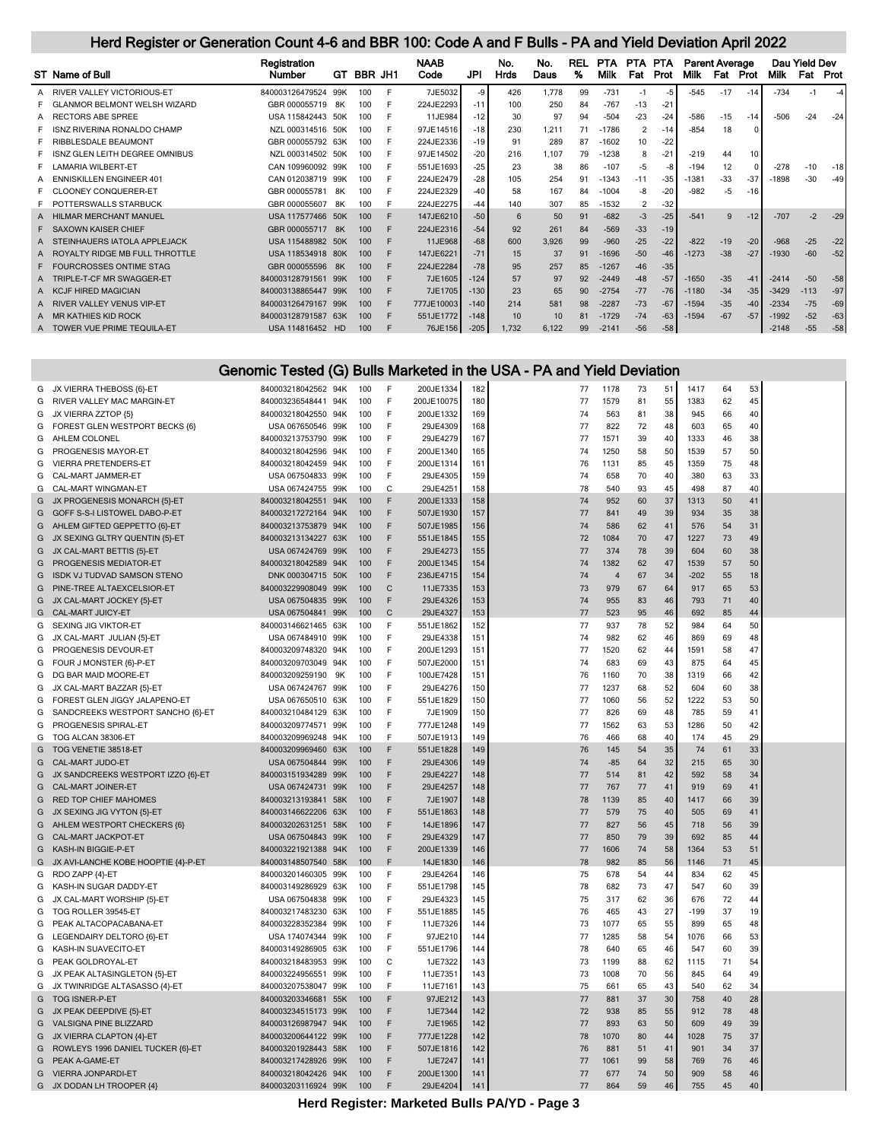|   | ST Name of Bull                           | Registration<br><b>Number</b> | GT.            | <b>BBR JH1</b> |   | <b>NAAB</b><br>Code | JPI    | No.<br>Hrds | No.<br>Daus | <b>REL</b><br>% | <b>PTA</b><br>Milk | PTA.<br>Fat    | <b>PTA</b><br>Prot | <b>Parent Average</b><br>Milk | Fat   | Prot  | Milk    | Dau Yield Dev | <b>Fat Prot</b> |
|---|-------------------------------------------|-------------------------------|----------------|----------------|---|---------------------|--------|-------------|-------------|-----------------|--------------------|----------------|--------------------|-------------------------------|-------|-------|---------|---------------|-----------------|
| A | RIVER VALLEY VICTORIOUS-ET                | 840003126479524               | 99K            | 100            |   | 7JE5032             | -9     | 426         | 1.778       | 99              | $-731$             | $-1$           | $-5$               | $-545$                        | $-17$ | $-14$ | $-734$  | $-1$          | -4              |
|   | ANMOR BELMONT WELSH WIZARD<br>- GL        | GBR 000055719                 | .8K            | 100            |   | 224JE2293           | $-11$  | 100         | 250         | 84              | $-767$             | $-13$          | $-21$              |                               |       |       |         |               |                 |
|   | RECTORS ABE SPREE                         | USA 115842443 50K             |                | 100            |   | 11JE984             | $-12$  | 30          | 97          | 94              | $-504$             | $-23$          | $-24$              | $-586$                        | $-15$ | $-14$ | $-506$  | $-24$         | $-24$           |
|   | ISNZ RIVERINA RONALDO CHAMP               | NZL 000314516 50K             |                | 100            | F | 97JE14516           | $-18$  | 230         | 1,211       | 71              | $-1786$            | $\overline{2}$ | $-14$              | $-854$                        | 18    |       |         |               |                 |
|   | RIBBLESDALE BEAUMONT                      | GBR 000055792 63K             |                | 100            |   | 224JE2336           | $-19$  | 91          | 289         | 87              | $-1602$            | 10             | $-22$              |                               |       |       |         |               |                 |
|   | ISNZ GLEN LEITH DEGREE OMNIBUS            | NZL 000314502 50K             |                | 100            |   | 97JE14502           | $-20$  | 216         | 1.107       | 79              | $-1238$            | 8              | $-2$               | $-219$                        | 44    | 10    |         |               |                 |
|   | <b>LAMARIA WILBERT-ET</b>                 | CAN 109960092 99K             |                | 100            | F | 551JE1693           | $-25$  | 23          | 38          | 86              | $-107$             | $-5$           | -8                 | $-194$                        | 12    |       | $-278$  | $-10$         | $-18$           |
|   | <b>NISKILLEN ENGINEER 401</b><br>- EN     | CAN 012038719 99K             |                | 100            |   | 224JE2479           | $-28$  | 105         | 254         | 91              | $-1343$            | $-11$          | $-35$              | $-1381$                       | $-33$ | $-37$ | $-1898$ | $-30$         | $-49$           |
|   | <b>CLOONEY CONQUERER-ET</b>               | GBR 000055781                 | 8K             | 100            |   | 224JE2329           | $-40$  | 58          | 167         | 84              | $-1004$            | -8             | $-20$              | $-982$                        | $-5$  | $-16$ |         |               |                 |
|   | POTTERSWALLS STARBUCK                     | GBR 000055607                 | 8K             | 100            |   | 224JE2275           | $-44$  | 140         | 307         | 85              | $-1532$            | 2              | $-32$              |                               |       |       |         |               |                 |
|   | <b>MAR MERCHANT MANUEL</b>                | USA 117577466                 | 50K            | 100            |   | 147JE6210           | $-50$  | 6           | 50          | 91              | $-682$             | $-3$           | $-25$              | $-541$                        | 9     | $-12$ | $-707$  | $-2$          | $-29$           |
|   | F SAXOWN KAISER CHIEF                     | GBR 000055717                 | 8 <sub>K</sub> | 100            |   | 224JE2316           | $-54$  | 92          | 261         | 84              | $-569$             | $-33$          | $-19$              |                               |       |       |         |               |                 |
|   | <b>EINHAUERS IATOLA APPLEJACK</b><br>- ST | USA 115488982 50K             |                | 100            |   | 11JE968             | $-68$  | 600         | 3,926       | 99              | $-960$             | $-25$          | $-22$              | $-822$                        | $-19$ | $-20$ | $-968$  | $-25$         | $-22$           |
|   | ROYALTY RIDGE MB FULL THROTTLE            | USA 118534918 80K             |                | 100            |   | 147JE6221           | $-71$  | 15          | 37          | 91              | $-1696$            | $-50$          | $-46$              | $-1273$                       | $-38$ | $-27$ | $-1930$ | $-60$         | $-52$           |
|   | <b>JRCROSSES ONTIME STAG</b><br>F FOI     | GBR 000055596                 | 8K             | 100            |   | 224JE2284           | $-78$  | 95          | 257         | 85              | $-1267$            | $-46$          | $-35$              |                               |       |       |         |               |                 |
|   | TRIPLE-T-CF MR SWAGGER-ET                 | 840003128791561               | 99K            | 100            |   | 7JE1605             | $-124$ | 57          | 97          | 92              | $-2449$            | $-48$          | $-57$              | $-1650$                       | $-35$ | $-41$ | $-2414$ | $-50$         | $-58$           |
|   | <b>KCJF HIRED MAGICIAN</b>                | 840003138865447               | 99K            | 100            |   | 7JE1705             | $-130$ | 23          | 65          | 90              | $-2754$            | $-77$          | $-76$              | $-1180$                       | $-34$ | $-35$ | $-3429$ | $-113$        | $-97$           |
|   | <b>ER VALLEY VENUS VIP-ET</b>             | 840003126479167               | 99K            | 100            |   | 777JE10003          | $-140$ | 214         | 581         | 98              | $-2287$            | $-73$          | $-67$              | $-1594$                       | $-35$ | $-40$ | $-2334$ | $-75$         | $-69$           |
|   | KATHIES KID ROCK<br>A MR                  | 840003128791587               | 63K            | 100            |   | 551JE1772           | $-148$ | 10          | 10          | 81              | $-1729$            | $-74$          | $-63$              | $-1594$                       | $-67$ | $-57$ | $-1992$ | $-52$         | $-63$           |
|   | A TOWER VUE PRIME TEQUILA-ET              | USA 114816452 HD              |                | 100            |   | 76JE156             | $-205$ | 1.732       | 6.122       | 99              | $-2141$            | $-56$          | $-58$              |                               |       |       | $-2148$ | $-55$         | $-58$           |
|   |                                           |                               |                |                |   |                     |        |             |             |                 |                    |                |                    |                               |       |       |         |               |                 |

## Genomic Tested (G) Bulls Marketed in the USA - PA and Yield Deviation

| G      | JX VIERRA THEBOSS {6}-ET            | 840003218042562         | 94K        | 100 | F           | 200JE1334  | 182 | 77       | 1178           | 73 | 51       | 1417   | 64 | 53       |  |
|--------|-------------------------------------|-------------------------|------------|-----|-------------|------------|-----|----------|----------------|----|----------|--------|----|----------|--|
| G      | RIVER VALLEY MAC MARGIN-ET          | 840003236548441         | 94K        | 100 | F           | 200JE10075 | 180 | 77       | 1579           | 81 | 55       | 1383   | 62 | 45       |  |
| G      | JX VIERRA ZZTOP {5}                 | 840003218042550         | 94K        | 100 | F           | 200JE1332  | 169 | 74       | 563            | 81 | 38       | 945    | 66 | 40       |  |
| G      | FOREST GLEN WESTPORT BECKS {6}      | USA 067650546           | 99K        | 100 | E           | 29JE4309   | 168 | 77       | 822            | 72 | 48       | 603    | 65 | 40       |  |
| G      | AHLEM COLONEL                       | 840003213753790         | 99K        | 100 | F           | 29JE4279   | 167 | 77       | 1571           | 39 | 40       | 1333   | 46 | 38       |  |
| G      | PROGENESIS MAYOR-ET                 | 840003218042596         | 94K        | 100 | E           | 200JE1340  | 165 | 74       | 1250           | 58 | 50       | 1539   | 57 | 50       |  |
| G      | VIERRA PRETENDERS-ET                | 840003218042459         | 94K        | 100 | F           | 200JE1314  | 161 | 76       | 1131           | 85 | 45       | 1359   | 75 | 48       |  |
| G      | CAL-MART JAMMER-ET                  | USA 067504833           | 99K        | 100 | F           | 29JE4305   | 159 | 74       | 658            | 70 | 40       | 380    | 63 | 33       |  |
| G      | CAL-MART WINGMAN-ET                 | USA 067424755 99K       |            | 100 | C           | 29JE4251   | 158 | 78       | 540            | 93 | 45       | 498    | 87 | 40       |  |
| G      | JX PROGENESIS MONARCH {5}-ET        | 840003218042551         | 94K        | 100 | E           | 200JE1333  | 158 | 74       | 952            | 60 | 37       | 1313   | 50 | 41       |  |
| G      | GOFF S-S-I LISTOWEL DABO-P-ET       | 840003217272164         | 94K        | 100 | F           | 507JE1930  | 157 | 77       | 841            | 49 | 39       | 934    | 35 | 38       |  |
| G      | AHLEM GIFTED GEPPETTO {6}-ET        | 840003213753879         | 94K        | 100 | F           | 507JE1985  | 156 | 74       | 586            | 62 | 41       | 576    | 54 | 31       |  |
| G      | JX SEXING GLTRY QUENTIN {5}-ET      | 840003213134227         | 63K        | 100 | F           | 551JE1845  | 155 | 72       | 1084           | 70 | 47       | 1227   | 73 | 49       |  |
| G      | JX CAL-MART BETTIS {5}-ET           | USA 067424769           | 99K        | 100 | F           | 29JE4273   | 155 | 77       | 374            | 78 | 39       | 604    | 60 | 38       |  |
| G      | PROGENESIS MEDIATOR-ET              | 840003218042589         | 94K        | 100 | F           | 200JE1345  | 154 | 74       | 1382           | 62 | 47       | 1539   | 57 | 50       |  |
| G      | ISDK VJ TUDVAD SAMSON STENO         | DNK 000304715 50K       |            | 100 | F           | 236JE4715  | 154 | 74       | $\overline{4}$ | 67 | 34       | $-202$ | 55 | 18       |  |
| G      | PINE-TREE ALTAEXCELSIOR-ET          | 840003229908049         | 99K        | 100 | $\mathbf C$ | 11JE7335   | 153 | 73       | 979            | 67 | 64       | 917    | 65 | 53       |  |
| G      | JX CAL-MART JOCKEY {5}-ET           | USA 067504835 99K       |            | 100 | F           | 29JE4326   | 153 | 74       | 955            | 83 | 46       | 793    | 71 | 40       |  |
| G      | CAL-MART JUICY-ET                   | USA 067504841           | 99K        | 100 | $\mathsf C$ | 29JE4327   | 153 | 77       | 523            | 95 | 46       | 692    | 85 | 44       |  |
| G      | SEXING JIG VIKTOR-ET                | 840003146621465 63K     |            | 100 | F           | 551JE1862  | 152 | 77       | 937            | 78 | 52       | 984    | 64 | 50       |  |
| G      | JX CAL-MART JULIAN {5}-ET           | USA 067484910           | 99K        | 100 | E           | 29JE4338   | 151 | 74       | 982            | 62 | 46       | 869    | 69 | 48       |  |
| G      | PROGENESIS DEVOUR-ET                | 840003209748320         | 94K        | 100 | F           | 200JE1293  | 151 | 77       | 1520           | 62 | 44       | 1591   | 58 | 47       |  |
| G      | FOUR J MONSTER {6}-P-ET             | 840003209703049 94K     |            | 100 | F           | 507JE2000  | 151 | 74       | 683            | 69 | 43       | 875    | 64 | 45       |  |
| G      | DG BAR MAID MOORE-ET                | 840003209259190         | .9K        | 100 | F           | 100JE7428  | 151 | 76       | 1160           | 70 | 38       | 1319   | 66 | 42       |  |
| G      | JX CAL-MART BAZZAR {5}-E1           | USA 067424767           | 99K        | 100 | F           | 29JE4276   | 150 | 77       | 1237           | 68 | 52       | 604    | 60 | 38       |  |
| G      | FOREST GLEN JIGGY JALAPENO-ET       | USA 067650510 63K       |            | 100 | $\mathsf F$ | 551JE1829  | 150 | 77       | 1060           | 56 | 52       | 1222   | 53 | 50       |  |
| G      | SANDCREEKS WESTPORT SANCHO {6}-ET   | 840003210484129         | 63K        | 100 | F           | 7JE1909    | 150 | 77       | 826            | 69 | 48       | 785    | 59 | 41       |  |
|        |                                     |                         |            |     | F           |            | 149 |          | 1562           |    |          | 1286   | 50 |          |  |
| G<br>G | PROGENESIS SPIRAL-ET                | 840003209774571         | 99K<br>94K | 100 | Ė           | 777JE1248  | 149 | 77<br>76 |                | 63 | 53       | 174    |    | 42       |  |
|        | TOG ALCAN 38306-ET                  | 840003209969248         |            | 100 | F           | 507JE1913  |     |          | 466            | 68 | 40<br>35 |        | 45 | 29<br>33 |  |
| G      | TOG VENETIE 38518-ET                | 840003209969460         | 63K        | 100 | F           | 551JE1828  | 149 | 76       | 145            | 54 |          | 74     | 61 |          |  |
| G      | CAL-MART JUDO-ET                    | USA 067504844           | 99K        | 100 | F           | 29JE4306   | 149 | 74       | $-85$          | 64 | 32       | 215    | 65 | 30       |  |
| G      | JX SANDCREEKS WESTPORT IZZO {6}-ET  | 840003151934289         | 99K        | 100 |             | 29JE4227   | 148 | 77       | 514            | 81 | 42       | 592    | 58 | 34       |  |
| G      | CAL-MART JOINER-ET                  | USA 067424731           | 99K        | 100 | F           | 29JE4257   | 148 | 77       | 767            | 77 | 41       | 919    | 69 | 41       |  |
| G      | <b>RED TOP CHIEF MAHOMES</b>        | 840003213193841         | 58K        | 100 | F           | 7JE1907    | 148 | 78       | 1139           | 85 | 40       | 1417   | 66 | 39       |  |
| G      | JX SEXING JIG VYTON {5}-ET          | 840003146622206         | 63K        | 100 | F           | 551JE1863  | 148 | 77       | 579            | 75 | 40       | 505    | 69 | 41       |  |
| G      | AHLEM WESTPORT CHECKERS {6}         | 840003202631251         | 58K        | 100 | F           | 14JE1896   | 147 | 77       | 827            | 56 | 45       | 718    | 56 | 39       |  |
| G      | CAL-MART JACKPOT-ET                 | USA 067504843           | 99K        | 100 | F           | 29JE4329   | 147 | 77       | 850            | 79 | 39       | 692    | 85 | 44       |  |
| G      | KASH-IN BIGGIE-P-ET                 | 840003221921388         | 94K        | 100 | F           | 200JE1339  | 146 | 77       | 1606           | 74 | 58       | 1364   | 53 | 51       |  |
| G      | JX AVI-LANCHE KOBE HOOPTIE {4}-P-ET | 840003148507540         | 58K        | 100 | F           | 14JE1830   | 146 | 78       | 982            | 85 | 56       | 1146   | 71 | 45       |  |
| G      | RDO ZAPP {4}-ET                     | 840003201460305         | 99K        | 100 | F           | 29JE4264   | 146 | 75       | 678            | 54 | 44       | 834    | 62 | 45       |  |
| G      | KASH-IN SUGAR DADDY-ET              | 840003149286929         | 63K        | 100 | F           | 551JE1798  | 145 | 78       | 682            | 73 | 47       | 547    | 60 | 39       |  |
| G      | JX CAL-MART WORSHIP {5}-ET          | USA 067504838           | 99K        | 100 | F           | 29JE4323   | 145 | 75       | 317            | 62 | 36       | 676    | 72 | 44       |  |
| G      | TOG ROLLER 39545-ET                 | 840003217483230         | 63K        | 100 | F           | 551JE1885  | 145 | 76       | 465            | 43 | 27       | $-199$ | 37 | 19       |  |
| G      | PEAK ALTACOPACABANA-ET              | 840003228352384         | 99K        | 100 | F           | 11JE7326   | 144 | 73       | 1077           | 65 | 55       | 899    | 65 | 48       |  |
| G      | LEGENDAIRY DELTORO {6}-ET           | USA 174074344           | 99K        | 100 | F           | 97JE210    | 144 | 77       | 1285           | 58 | 54       | 1076   | 66 | 53       |  |
| G      | KASH-IN SUAVECITO-ET                | 840003149286905         | 63K        | 100 | F           | 551JE1796  | 144 | 78       | 640            | 65 | 46       | 547    | 60 | 39       |  |
| G      | PEAK GOLDROYAL-ET                   | 840003218483953         | 99K        | 100 | $\mathsf C$ | 1JE7322    | 143 | 73       | 1199           | 88 | 62       | 1115   | 71 | 54       |  |
| G      | JX PEAK ALTASINGLETON {5}-ET        | 840003224956551         | 99K        | 100 | F           | 11JE7351   | 143 | 73       | 1008           | 70 | 56       | 845    | 64 | 49       |  |
| G      | JX TWINRIDGE ALTASASSO {4}-ET       | 840003207538047         | 99K        | 100 | E           | 11JE7161   | 143 | 75       | 661            | 65 | 43       | 540    | 62 | 34       |  |
| G      | TOG ISNER-P-ET                      | 840003203346681         | 55K        | 100 | F           | 97JE212    | 143 | 77       | 881            | 37 | 30       | 758    | 40 | 28       |  |
| G      | JX PEAK DEEPDIVE {5}-ET             | 840003234515173         | 99K        | 100 | F           | 1JE7344    | 142 | 72       | 938            | 85 | 55       | 912    | 78 | 48       |  |
| G      | VALSIGNA PINE BLIZZARD              | 840003126987947         | -94K       | 100 | F           | 7JE1965    | 142 | 77       | 893            | 63 | 50       | 609    | 49 | 39       |  |
| G      | JX VIERRA CLAPTON {4}-ET            | 840003200644122         | 99K        | 100 | F           | 777JE1228  | 142 | 78       | 1070           | 80 | 44       | 1028   | 75 | 37       |  |
| G      | ROWLEYS 1996 DANIEL TUCKER {6}-ET   | 840003201928443         | 58K        | 100 | F           | 507JE1816  | 142 | 76       | 881            | 51 | 41       | 901    | 34 | 37       |  |
| G      | PEAK A-GAME-ET                      | 840003217428926         | 99K        | 100 | F           | 1JE7247    | 141 | 77       | 1061           | 99 | 58       | 769    | 76 | 46       |  |
| G      | <b>VIERRA JONPARDI-ET</b>           | 840003218042426 94K     |            | 100 | E           | 200JE1300  | 141 | 77       | 677            | 74 | 50       | 909    | 58 | 46       |  |
|        | G JX DODAN LH TROOPER {4}           | 840003203116924 99K 100 |            |     | E           | 29JE4204   | 141 | 77       | 864            | 59 | 46       | 755    | 45 | 40       |  |
|        |                                     |                         |            |     |             |            |     |          |                |    |          |        |    |          |  |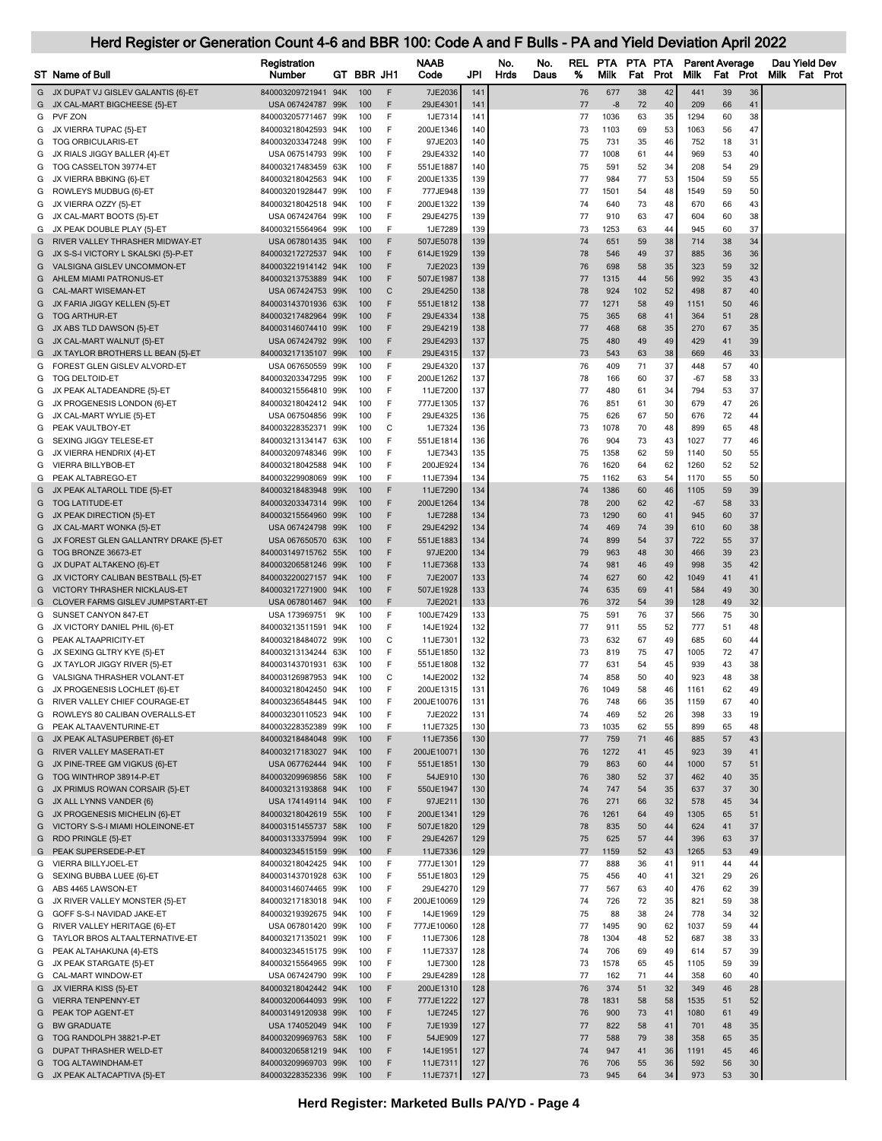|        | Herd Register or Generation Count 4-6 and BBR 100: Code A and F Bulls - PA and Yield Deviation April 2022 |                                            |            |            |               |                        |            |      |      |            |              |          |          |              |                       |          |      |               |                 |
|--------|-----------------------------------------------------------------------------------------------------------|--------------------------------------------|------------|------------|---------------|------------------------|------------|------|------|------------|--------------|----------|----------|--------------|-----------------------|----------|------|---------------|-----------------|
|        |                                                                                                           | Registration                               |            |            |               | <b>NAAB</b>            |            | No.  | No.  | <b>REL</b> | PTA PTA PTA  |          |          |              | <b>Parent Average</b> |          |      | Dau Yield Dev |                 |
|        | ST Name of Bull                                                                                           | Number                                     |            | GT BBR JH1 |               | Code                   | JPI        | Hrds | Daus | %          | Milk         | Fat      | Prot     | Milk         | Fat                   | Prot     | Milk |               | <b>Fat Prot</b> |
| G<br>G | JX DUPAT VJ GISLEV GALANTIS {6}-ET<br>JX CAL-MART BIGCHEESE {5}-ET                                        | 840003209721941 94K<br>USA 067424787 99K   |            | 100<br>100 | F<br>F        | 7JE2036<br>29JE4301    | 141<br>141 |      |      | 76<br>77   | 677<br>$-8$  | 38<br>72 | 42<br>40 | 441<br>209   | 39<br>66              | 36<br>41 |      |               |                 |
|        | G PVF ZON                                                                                                 | 840003205771467 99K                        |            | 100        | F             | 1JE7314                | 141        |      |      | 77         | 1036         | 63       | 35       | 1294         | 60                    | 38       |      |               |                 |
| G<br>G | JX VIERRA TUPAC {5}-ET<br>TOG ORBICULARIS-ET                                                              | 840003218042593 94K<br>840003203347248     | 99K        | 100<br>100 | F<br>F        | 200JE1346<br>97JE203   | 140<br>140 |      |      | 73<br>75   | 1103<br>731  | 69<br>35 | 53<br>46 | 1063<br>752  | 56<br>18              | 47<br>31 |      |               |                 |
| G      | JX RIALS JIGGY BALLER {4}-ET                                                                              | USA 067514793 99K                          |            | 100        | F             | 29JE4332               | 140        |      |      | 77         | 1008         | 61       | 44       | 969          | 53                    | 40       |      |               |                 |
| G      | TOG CASSELTON 39774-ET                                                                                    | 840003217483459 63K                        |            | 100        | F             | 551JE1887              | 140        |      |      | 75         | 591          | 52       | 34       | 208          | 54                    | 29       |      |               |                 |
| G      | JX VIERRA BBKING {6}-ET                                                                                   | 840003218042563 94K                        |            | 100        | F             | 200JE1335              | 139        |      |      | 77         | 984          | 77       | 53       | 1504         | 59                    | 55       |      |               |                 |
| G<br>G | ROWLEYS MUDBUG {6}-ET<br>JX VIERRA OZZY {5}-ET                                                            | 840003201928447 99K<br>840003218042518 94K |            | 100<br>100 | F<br>F        | 777JE948<br>200JE1322  | 139<br>139 |      |      | 77<br>74   | 1501<br>640  | 54<br>73 | 48<br>48 | 1549<br>670  | 59<br>66              | 50<br>43 |      |               |                 |
| G      | JX CAL-MART BOOTS {5}-ET                                                                                  | USA 067424764 99K                          |            | 100        | F             | 29JE4275               | 139        |      |      | 77         | 910          | 63       | 47       | 604          | 60                    | 38       |      |               |                 |
| G.     | JX PEAK DOUBLE PLAY {5}-ET                                                                                | 840003215564964 99K                        |            | 100        | F             | 1JE7289                | 139        |      |      | 73         | 1253         | 63       | 44       | 945          | 60                    | 37       |      |               |                 |
| G      | RIVER VALLEY THRASHER MIDWAY-ET                                                                           | USA 067801435 94K                          |            | 100        | F             | 507JE5078              | 139        |      |      | 74         | 651          | 59       | 38       | 714          | 38                    | 34       |      |               |                 |
| G      | JX S-S-I VICTORY L SKALSKI {5}-P-ET                                                                       | 840003217272537                            | 94K        | 100<br>100 | F<br>F        | 614JE1929              | 139<br>139 |      |      | 78         | 546          | 49       | 37<br>35 | 885<br>323   | 36                    | 36<br>32 |      |               |                 |
| G<br>G | VALSIGNA GISLEV UNCOMMON-ET<br>AHLEM MIAMI PATRONUS-ET                                                    | 840003221914142 94K<br>840003213753889     | 94K        | 100        | F             | 7JE2023<br>507JE1987   | 138        |      |      | 76<br>77   | 698<br>1315  | 58<br>44 | 56       | 992          | 59<br>35              | 43       |      |               |                 |
| G      | <b>CAL-MART WISEMAN-ET</b>                                                                                | USA 067424753 99K                          |            | 100        | С             | 29JE4250               | 138        |      |      | 78         | 924          | 102      | 52       | 498          | 87                    | 40       |      |               |                 |
| G      | JX FARIA JIGGY KELLEN {5}-ET                                                                              | 840003143701936 63K                        |            | 100        | F             | 551JE1812              | 138        |      |      | 77         | 1271         | 58       | 49       | 1151         | 50                    | 46       |      |               |                 |
| G      | <b>TOG ARTHUR-ET</b>                                                                                      | 840003217482964 99K                        |            | 100        | F             | 29JE4334               | 138        |      |      | 75         | 365          | 68       | 41       | 364          | 51                    | 28       |      |               |                 |
| G<br>G | JX ABS TLD DAWSON {5}-ET<br>JX CAL-MART WALNUT {5}-ET                                                     | 840003146074410 99K<br>USA 067424792 99K   |            | 100<br>100 | F<br>F        | 29JE4219<br>29JE4293   | 138<br>137 |      |      | 77<br>75   | 468<br>480   | 68<br>49 | 35<br>49 | 270<br>429   | 67<br>41              | 35<br>39 |      |               |                 |
|        | G JX TAYLOR BROTHERS LL BEAN {5}-ET                                                                       | 840003217135107 99K                        |            | 100        | F             | 29JE4315               | 137        |      |      | 73         | 543          | 63       | 38       | 669          | 46                    | 33       |      |               |                 |
| G      | FOREST GLEN GISLEV ALVORD-ET                                                                              | USA 067650559 99K                          |            | 100        | F             | 29JE4320               | 137        |      |      | 76         | 409          | 71       | 37       | 448          | 57                    | 40       |      |               |                 |
| G      | <b>TOG DELTOID-ET</b>                                                                                     | 840003203347295 99K                        |            | 100        | F             | 200JE1262              | 137        |      |      | 78         | 166          | 60       | 37       | $-67$        | 58                    | 33       |      |               |                 |
| G<br>G | JX PEAK ALTADEANDRE {5}-ET<br>JX PROGENESIS LONDON {6}-ET                                                 | 840003215564810 99K<br>840003218042412 94K |            | 100<br>100 | F<br>F        | 11JE7200<br>777JE1305  | 137<br>137 |      |      | 77<br>76   | 480<br>851   | 61<br>61 | 34<br>30 | 794<br>679   | 53<br>47              | 37<br>26 |      |               |                 |
| G      | JX CAL-MART WYLIE {5}-ET                                                                                  | USA 067504856 99K                          |            | 100        | F             | 29JE4325               | 136        |      |      | 75         | 626          | 67       | 50       | 676          | 72                    | 44       |      |               |                 |
| G      | PEAK VAULTBOY-ET                                                                                          | 840003228352371 99K                        |            | 100        | C             | 1JE7324                | 136        |      |      | 73         | 1078         | 70       | 48       | 899          | 65                    | 48       |      |               |                 |
| G      | SEXING JIGGY TELESE-ET                                                                                    | 840003213134147 63K                        |            | 100        | F             | 551JE1814              | 136        |      |      | 76         | 904          | 73       | 43       | 1027         | 77                    | 46       |      |               |                 |
| G<br>G | JX VIERRA HENDRIX {4}-ET<br>VIERRA BILLYBOB-ET                                                            | 840003209748346<br>840003218042588         | 99K<br>94K | 100<br>100 | F<br>F        | 1JE7343<br>200JE924    | 135<br>134 |      |      | 75<br>76   | 1358<br>1620 | 62<br>64 | 59<br>62 | 1140<br>1260 | 50<br>52              | 55<br>52 |      |               |                 |
| G      | PEAK ALTABREGO-ET                                                                                         | 840003229908069 99K                        |            | 100        | F             | 11JE7394               | 134        |      |      | 75         | 1162         | 63       | 54       | 1170         | 55                    | 50       |      |               |                 |
| G      | JX PEAK ALTAROLL TIDE {5}-ET                                                                              | 840003218483948 99K                        |            | 100        | F             | 11JE7290               | 134        |      |      | 74         | 1386         | 60       | 46       | 1105         | 59                    | 39       |      |               |                 |
| G      | <b>TOG LATITUDE-ET</b>                                                                                    | 840003203347314 99K                        |            | 100        | F             | 200JE1264              | 134        |      |      | 78         | 200          | 62       | 42       | $-67$        | 58                    | 33       |      |               |                 |
| G      | JX PEAK DIRECTION {5}-ET<br>G JX CAL-MART WONKA {5}-ET                                                    | 840003215564960 99K<br>USA 067424798 99K   |            | 100<br>100 | F<br>F        | 1JE7288<br>29JE4292    | 134<br>134 |      |      | 73<br>74   | 1290<br>469  | 60<br>74 | 41<br>39 | 945<br>610   | 60<br>60              | 37<br>38 |      |               |                 |
| G      | JX FOREST GLEN GALLANTRY DRAKE {5}-ET                                                                     | USA 067650570 63K                          |            | 100        | F             | 551JE1883              | 134        |      |      | 74         | 899          | 54       | 37       | 722          | 55                    | 37       |      |               |                 |
| G      | TOG BRONZE 36673-ET                                                                                       | 840003149715762 55K                        |            | 100        | F             | 97JE200                | 134        |      |      | 79         | 963          | 48       | 30       | 466          | 39                    | 23       |      |               |                 |
| G      | JX DUPAT ALTAKENO {6}-ET                                                                                  | 840003206581246 99K                        |            | 100        | F             | 11JE7368               | 133        |      |      | 74         | 981          | 46       | 49       | 998          | 35                    | 42       |      |               |                 |
| G      | JX VICTORY CALIBAN BESTBALL {5}-ET                                                                        | 840003220027157 94K                        |            | 100<br>100 | F<br>F        | 7JE2007                | 133<br>133 |      |      | 74<br>74   | 627<br>635   | 60<br>69 | 42<br>41 | 1049<br>584  | 41<br>49              | 41<br>30 |      |               |                 |
| G      | VICTORY THRASHER NICKLAUS-ET<br>G CLOVER FARMS GISLEV JUMPSTART-ET                                        | 840003217271900 94K<br>USA 067801467 94K   |            | 100        | F             | 507JE1928<br>7JE2021   | 133        |      |      | 76         | 372          | 54       | 39       | 128          | 49                    | 32       |      |               |                 |
| G      | SUNSET CANYON 847-ET                                                                                      | USA 173969751 9K                           |            | 100        | F             | 100JE7429              | 133        |      |      | 75         | 591          | 76       | 37       | 566          | 75                    | 30       |      |               |                 |
| G      | JX VICTORY DANIEL PHIL {6}-ET                                                                             | 840003213511591 94K                        |            | 100        | F             | 14JE1924               | 132        |      |      | 77         | 911          | 55       | 52       | 777          | 51                    | 48       |      |               |                 |
| G      | PEAK ALTAAPRICITY-ET                                                                                      | 840003218484072 99K                        |            | 100        | C<br>F        | 11JE7301               | 132        |      |      | 73         | 632          | 67       | 49       | 685          | 60                    | 44       |      |               |                 |
| G<br>G | JX SEXING GLTRY KYE {5}-ET<br>JX TAYLOR JIGGY RIVER {5}-ET                                                | 840003213134244 63K<br>840003143701931 63K |            | 100<br>100 | F             | 551JE1850<br>551JE1808 | 132<br>132 |      |      | 73<br>77   | 819<br>631   | 75<br>54 | 47<br>45 | 1005<br>939  | 72<br>43              | 47<br>38 |      |               |                 |
|        | G VALSIGNA THRASHER VOLANT-ET                                                                             | 840003126987953 94K                        |            | 100        | $\mathcal{C}$ | 14JE2002               | 132        |      |      | 74         | 858          | 50       | 40       | 923          | 48                    | 38       |      |               |                 |
| G      | JX PROGENESIS LOCHLET {6}-ET                                                                              | 840003218042450 94K                        |            | 100        | F             | 200JE1315              | 131        |      |      | 76         | 1049         | 58       | 46       | 1161         | 62                    | 49       |      |               |                 |
| G      | RIVER VALLEY CHIEF COURAGE-ET                                                                             | 840003236548445 94K                        |            | 100        | F             | 200JE10076             | 131        |      |      | 76         | 748          | 66       | 35       | 1159         | 67                    | 40       |      |               |                 |
| G      | ROWLEYS 80 CALIBAN OVERALLS-ET<br>G PEAK ALTAAVENTURINE-ET                                                | 840003230110523 94K<br>840003228352389 99K |            | 100<br>100 | F<br>F        | 7JE2022<br>11JE7325    | 131<br>130 |      |      | 74<br>73   | 469<br>1035  | 52<br>62 | 26<br>55 | 398<br>899   | 33<br>65              | 19<br>48 |      |               |                 |
| G      | JX PEAK ALTASUPERBET {6}-ET                                                                               | 840003218484048 99K                        |            | 100        | F             | 11JE7356               | 130        |      |      | 77         | 759          | 71       | 46       | 885          | 57                    | 43       |      |               |                 |
| G      | RIVER VALLEY MASERATI-ET                                                                                  | 840003217183027 94K                        |            | 100        | F             | 200JE10071             | 130        |      |      | 76         | 1272         | 41       | 45       | 923          | 39                    | 41       |      |               |                 |
| G      | JX PINE-TREE GM VIGKUS {6}-ET                                                                             | USA 067762444 94K                          |            | 100        | F             | 551JE1851              | 130        |      |      | 79         | 863          | 60       | 44       | 1000         | 57                    | 51       |      |               |                 |
| G<br>G | TOG WINTHROP 38914-P-ET<br>JX PRIMUS ROWAN CORSAIR {5}-ET                                                 | 840003209969856 58K<br>840003213193868 94K |            | 100<br>100 | F<br>F        | 54JE910<br>550JE1947   | 130<br>130 |      |      | 76<br>74   | 380<br>747   | 52<br>54 | 37<br>35 | 462<br>637   | 40<br>37              | 35<br>30 |      |               |                 |
| G      | JX ALL LYNNS VANDER {6}                                                                                   | USA 174149114 94K                          |            | 100        | F             | 97JE211                | 130        |      |      | 76         | 271          | 66       | 32       | 578          | 45                    | 34       |      |               |                 |
| G      | JX PROGENESIS MICHELIN {6}-ET                                                                             | 840003218042619 55K                        |            | 100        | F             | 200JE1341              | 129        |      |      | 76         | 1261         | 64       | 49       | 1305         | 65                    | 51       |      |               |                 |
| G      | VICTORY S-S-I MIAMI HOLEINONE-ET                                                                          | 840003151455737 58K                        |            | 100        | F             | 507JE1820              | 129        |      |      | 78         | 835          | 50       | 44       | 624          | 41                    | 37       |      |               |                 |
| G<br>G | RDO PRINGLE {5}-ET<br>PEAK SUPERSEDE-P-ET                                                                 | 840003133375994 99K<br>840003234515159 99K |            | 100<br>100 | F<br>F        | 29JE4267<br>11JE7336   | 129<br>129 |      |      | 75<br>77   | 625<br>1159  | 57<br>52 | 44<br>43 | 396<br>1265  | 63<br>53              | 37<br>49 |      |               |                 |
| G      | VIERRA BILLYJOEL-ET                                                                                       | 840003218042425 94K                        |            | 100        | F             | 777JE1301              | 129        |      |      | 77         | 888          | 36       | 41       | 911          | 44                    | 44       |      |               |                 |
| G      | SEXING BUBBA LUEE {6}-ET                                                                                  | 840003143701928                            | 63K        | 100        | F             | 551JE1803              | 129        |      |      | 75         | 456          | 40       | 41       | 321          | 29                    | 26       |      |               |                 |
| G      | ABS 4465 LAWSON-ET                                                                                        | 840003146074465 99K                        |            | 100        | F             | 29JE4270               | 129        |      |      | 77         | 567          | 63       | 40       | 476          | 62                    | 39       |      |               |                 |
| G      | JX RIVER VALLEY MONSTER {5}-ET                                                                            | 840003217183018 94K                        |            | 100<br>100 | F<br>F        | 200JE10069             | 129<br>129 |      |      | 74<br>75   | 726<br>88    | 72<br>38 | 35<br>24 | 821<br>778   | 59<br>34              | 38<br>32 |      |               |                 |
| G<br>G | GOFF S-S-I NAVIDAD JAKE-ET<br>RIVER VALLEY HERITAGE {6}-ET                                                | 840003219392675 94K<br>USA 067801420 99K   |            | 100        | F             | 14JE1969<br>777JE10060 | 128        |      |      | 77         | 1495         | 90       | 62       | 1037         | 59                    | 44       |      |               |                 |
|        | G TAYLOR BROS ALTAALTERNATIVE-ET                                                                          | 840003217135021 99K                        |            | 100        | F             | 11JE7306               | 128        |      |      | 78         | 1304         | 48       | 52       | 687          | 38                    | 33       |      |               |                 |
| G      | PEAK ALTAHAKUNA {4}-ETS                                                                                   | 840003234515175 99K                        |            | 100        | F             | 11JE7337               | 128        |      |      | 74         | 706          | 69       | 49       | 614          | 57                    | 39       |      |               |                 |
| G      | JX PEAK STARGATE {5}-ET                                                                                   | 840003215564965 99K                        |            | 100        | F<br>F        | 1JE7300                | 128        |      |      | 73         | 1578         | 65       | 45       | 1105         | 59                    | 39       |      |               |                 |
| G<br>G | CAL-MART WINDOW-ET<br>JX VIERRA KISS {5}-ET                                                               | USA 067424790 99K<br>840003218042442 94K   |            | 100<br>100 | F             | 29JE4289<br>200JE1310  | 128<br>128 |      |      | 77<br>76   | 162<br>374   | 71<br>51 | 44<br>32 | 358<br>349   | 60<br>46              | 40<br>28 |      |               |                 |
| G      | <b>VIERRA TENPENNY-ET</b>                                                                                 | 840003200644093 99K                        |            | 100        | F             | 777JE1222              | 127        |      |      | 78         | 1831         | 58       | 58       | 1535         | 51                    | 52       |      |               |                 |
| G      | PEAK TOP AGENT-ET                                                                                         | 840003149120938 99K                        |            | 100        | F             | 1JE7245                | 127        |      |      | 76         | 900          | 73       | 41       | 1080         | 61                    | 49       |      |               |                 |
| G      | <b>BW GRADUATE</b>                                                                                        | USA 174052049 94K                          |            | 100        | F             | 7JE1939                | 127        |      |      | 77         | 822          | 58       | 41       | 701          | 48                    | 35       |      |               |                 |
| G<br>G | TOG RANDOLPH 38821-P-ET<br><b>DUPAT THRASHER WELD-ET</b>                                                  | 840003209969763 58K<br>840003206581219 94K |            | 100<br>100 | F<br>F        | 54JE909<br>14JE1951    | 127<br>127 |      |      | 77<br>74   | 588<br>947   | 79<br>41 | 38<br>36 | 358<br>1191  | 65<br>45              | 35<br>46 |      |               |                 |
| G      | <b>TOG ALTAWINDHAM-ET</b>                                                                                 | 840003209969703 99K                        |            | 100        | F             | 11JE7311               | 127        |      |      | 76         | 706          | 55       | 36       | 592          | 56                    | 30       |      |               |                 |
|        | G JX PEAK ALTACAPTIVA {5}-ET                                                                              | 840003228352336 99K                        |            | 100        | F             | 11JE7371               | 127        |      |      | 73         | 945          | 64       | 34       | 973          | 53                    | 30       |      |               |                 |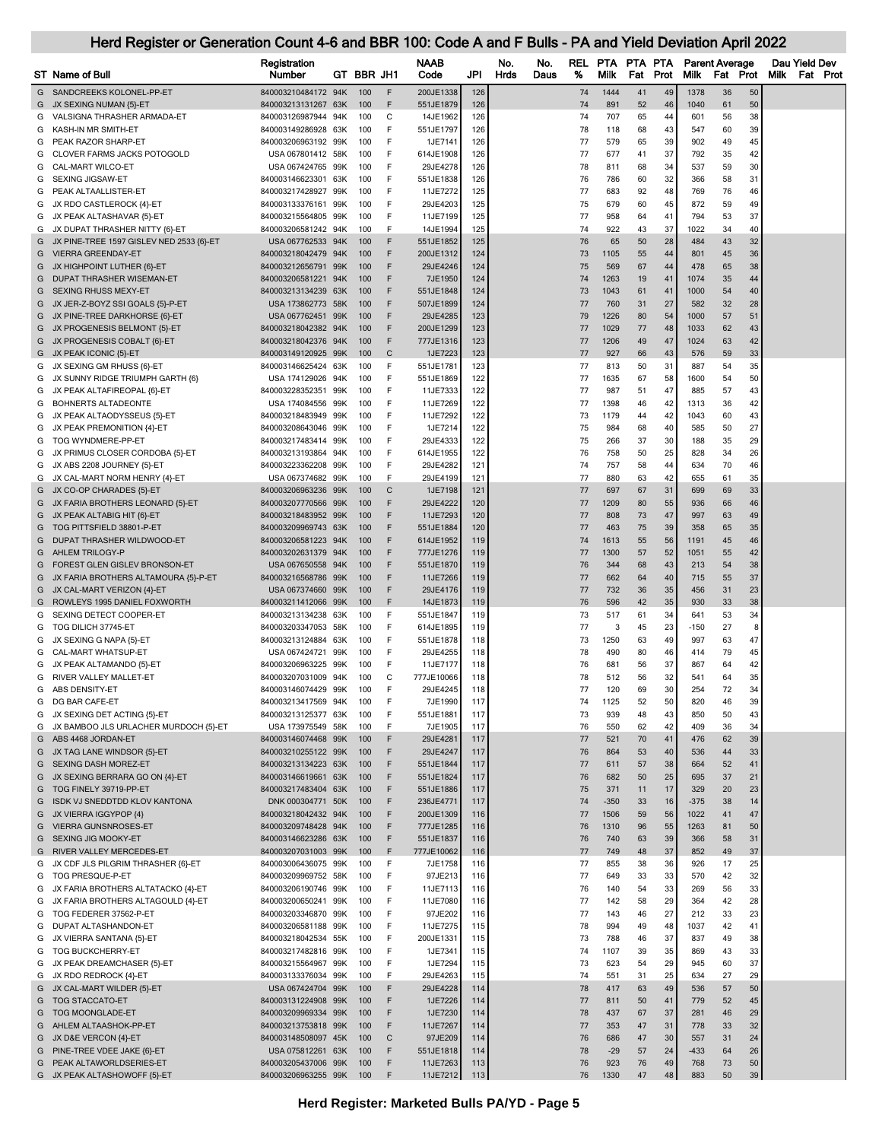|        | <b>ST</b> Name of Bull                                        | Registration<br>Number                     |            | GT BBR JH1 |                   | NAAB<br>Code           | JPI        | No.<br>No.<br>Hrds<br>Daus | REL<br>% | <b>PTA</b><br>Milk | PTA.<br>Fat | <b>PTA</b><br>Prot | Milk         | <b>Parent Average</b><br>Fat<br>Prot |          | Dau Yield Dev<br><b>Milk</b><br><b>Fat Prot</b> |
|--------|---------------------------------------------------------------|--------------------------------------------|------------|------------|-------------------|------------------------|------------|----------------------------|----------|--------------------|-------------|--------------------|--------------|--------------------------------------|----------|-------------------------------------------------|
| G      | SANDCREEKS KOLONEL-PP-ET                                      | 840003210484172                            | 94K        | 100        | F                 | 200JE1338              | 126        |                            | 74       | 1444               | 41          | 49                 | 1378         | 36                                   | 50       |                                                 |
| G      | JX SEXING NUMAN {5}-ET                                        | 840003213131267 63K                        |            | 100        | F                 | 551JE1879              | 126        |                            | 74       | 891                | 52          | 46                 | 1040         | 61                                   | 50       |                                                 |
| G      | VALSIGNA THRASHER ARMADA-ET                                   | 840003126987944 94K                        |            | 100        | C                 | 14JE1962               | 126        |                            | 74       | 707                | 65          | 44                 | 601          | 56                                   | 38       |                                                 |
| G      | KASH-IN MR SMITH-ET                                           | 840003149286928 63K                        |            | 100        | F                 | 551JE1797              | 126        |                            | 78       | 118                | 68          | 43                 | 547          | 60                                   | 39       |                                                 |
| G      | PEAK RAZOR SHARP-ET                                           | 840003206963192 99K                        |            | 100        | F                 | 1JE7141                | 126        |                            | 77       | 579                | 65          | 39                 | 902          | 49                                   | 45       |                                                 |
| G      | CLOVER FARMS JACKS POTOGOLD                                   | USA 067801412 58K                          |            | 100        | F                 | 614JE1908              | 126        |                            | 77       | 677                | 41          | 37                 | 792          | 35                                   | 42       |                                                 |
| G      | CAL-MART WILCO-ET                                             | USA 067424765 99K                          |            | 100        | F                 | 29JE4278               | 126        |                            | 78       | 811                | 68          | 34                 | 537          | 59                                   | 30       |                                                 |
| G      | SEXING JIGSAW-ET                                              | 840003146623301                            | 63K        | 100        | F<br>F            | 551JE1838              | 126        |                            | 76       | 786                | 60          | 32                 | 366          | 58                                   | 31       |                                                 |
| G      | PEAK ALTAALLISTER-ET<br>JX RDO CASTLEROCK {4}-ET              | 840003217428927<br>840003133376161         | 99K<br>99K | 100<br>100 | F                 | 11JE7272<br>29JE4203   | 125<br>125 |                            | 77<br>75 | 683<br>679         | 92<br>60    | 48<br>45           | 769<br>872   | 76<br>59                             | 46<br>49 |                                                 |
| G<br>G | JX PEAK ALTASHAVAR {5}-ET                                     | 840003215564805 99K                        |            | 100        | F                 | 11JE7199               | 125        |                            | 77       | 958                | 64          | 41                 | 794          | 53                                   | 37       |                                                 |
| G      | JX DUPAT THRASHER NITTY {6}-ET                                | 840003206581242 94K                        |            | 100        | F                 | 14JE1994               | 125        |                            | 74       | 922                | 43          | 37                 | 1022         | 34                                   | 40       |                                                 |
| G      | JX PINE-TREE 1597 GISLEV NED 2533 {6}-ET                      | USA 067762533 94K                          |            | 100        | F                 | 551JE1852              | 125        |                            | 76       | 65                 | 50          | 28                 | 484          | 43                                   | 32       |                                                 |
| G      | <b>VIERRA GREENDAY-ET</b>                                     | 840003218042479 94K                        |            | 100        | F                 | 200JE1312              | 124        |                            | 73       | 1105               | 55          | 44                 | 801          | 45                                   | 36       |                                                 |
| G      | JX HIGHPOINT LUTHER {6}-ET                                    | 840003212656791 99K                        |            | 100        | F                 | 29JE4246               | 124        |                            | 75       | 569                | 67          | 44                 | 478          | 65                                   | 38       |                                                 |
| G      | DUPAT THRASHER WISEMAN-ET                                     | 840003206581221 94K                        |            | 100        | F                 | 7JE1950                | 124        |                            | 74       | 1263               | 19          | 41                 | 1074         | 35                                   | 44       |                                                 |
| G      | SEXING RHUSS MEXY-ET                                          | 840003213134239                            | 63K        | 100        | F                 | 551JE1848              | 124        |                            | 73       | 1043               | 61          | 41                 | 1000         | 54                                   | 40       |                                                 |
| G      | JX JER-Z-BOYZ SSI GOALS {5}-P-ET                              | USA 173862773 58K                          |            | 100        | F                 | 507JE1899              | 124        |                            | 77       | 760                | 31          | 27                 | 582          | 32                                   | 28       |                                                 |
| G      | JX PINE-TREE DARKHORSE {6}-ET                                 | USA 067762451                              | 99K        | 100        | F                 | 29JE4285               | 123        |                            | 79       | 1226               | 80          | 54                 | 1000         | 57                                   | 51       |                                                 |
| G      | JX PROGENESIS BELMONT {5}-ET                                  | 840003218042382 94K                        |            | 100<br>100 | F<br>F            | 200JE1299              | 123<br>123 |                            | 77       | 1029<br>1206       | 77<br>49    | 48<br>47           | 1033<br>1024 | 62                                   | 43       |                                                 |
| G<br>G | JX PROGENESIS COBALT {6}-ET<br>JX PEAK ICONIC {5}-ET          | 840003218042376 94K<br>840003149120925 99K |            | 100        | C                 | 777JE1316<br>1JE7223   | 123        |                            | 77<br>77 | 927                | 66          | 43                 | 576          | 63<br>59                             | 42<br>33 |                                                 |
| G      | JX SEXING GM RHUSS {6}-ET                                     | 840003146625424 63K                        |            | 100        | F                 | 551JE1781              | 123        |                            | 77       | 813                | 50          | 31                 | 887          | 54                                   | 35       |                                                 |
| G      | JX SUNNY RIDGE TRIUMPH GARTH {6}                              | USA 174129026 94K                          |            | 100        | F                 | 551JE1869              | 122        |                            | 77       | 1635               | 67          | 58                 | 1600         | 54                                   | 50       |                                                 |
| G      | JX PEAK ALTAFIREOPAL {6}-ET                                   | 840003228352351 99K                        |            | 100        | F                 | 11JE7333               | 122        |                            | 77       | 987                | 51          | 47                 | 885          | 57                                   | 43       |                                                 |
| G      | <b>BOHNERTS ALTADEONTE</b>                                    | USA 174084556                              | 99K        | 100        | F                 | 11JE7269               | 122        |                            | 77       | 1398               | 46          | 42                 | 1313         | 36                                   | 42       |                                                 |
| G      | JX PEAK ALTAODYSSEUS {5}-ET                                   | 840003218483949                            | 99K        | 100        | F                 | 11JE7292               | 122        |                            | 73       | 1179               | 44          | 42                 | 1043         | 60                                   | 43       |                                                 |
| G      | JX PEAK PREMONITION {4}-ET                                    | 840003208643046                            | 99K        | 100        | F                 | 1JE7214                | 122        |                            | 75       | 984                | 68          | 40                 | 585          | 50                                   | 27       |                                                 |
| G      | TOG WYNDMERE-PP-ET                                            | 840003217483414 99K                        |            | 100        | F                 | 29JE4333               | 122        |                            | 75       | 266                | 37          | 30                 | 188          | 35                                   | 29       |                                                 |
| G      | JX PRIMUS CLOSER CORDOBA {5}-ET                               | 840003213193864 94K                        |            | 100        | F                 | 614JE1955              | 122        |                            | 76       | 758                | 50          | 25                 | 828          | 34                                   | 26       |                                                 |
| G      | JX ABS 2208 JOURNEY {5}-ET                                    | 840003223362208 99K                        |            | 100        | F                 | 29JE4282               | 121        |                            | 74       | 757                | 58          | 44                 | 634          | 70                                   | 46       |                                                 |
| G      | JX CAL-MART NORM HENRY {4}-ET<br>JX CO-OP CHARADES {5}-ET     | USA 067374682 99K<br>840003206963236       | 99K        | 100<br>100 | E<br>$\mathsf{C}$ | 29JE4199<br>1JE7198    | 121<br>121 |                            | 77<br>77 | 880<br>697         | 63<br>67    | 42<br>31           | 655<br>699   | 61<br>69                             | 35<br>33 |                                                 |
| G<br>G | JX FARIA BROTHERS LEONARD {5}-ET                              | 840003207770566 99K                        |            | 100        | F                 | 29JE4222               | 120        |                            | 77       | 1209               | 80          | 55                 | 936          | 66                                   | 46       |                                                 |
| G      | JX PEAK ALTABIG HIT {6}-ET                                    | 840003218483952                            | 99K        | 100        | F                 | 11JE7293               | 120        |                            | 77       | 808                | 73          | 47                 | 997          | 63                                   | 49       |                                                 |
| G      | TOG PITTSFIELD 38801-P-ET                                     | 840003209969743 63K                        |            | 100        | F                 | 551JE1884              | 120        |                            | 77       | 463                | 75          | 39                 | 358          | 65                                   | 35       |                                                 |
| G      | DUPAT THRASHER WILDWOOD-ET                                    | 840003206581223 94K                        |            | 100        | F                 | 614JE1952              | 119        |                            | 74       | 1613               | 55          | 56                 | 1191         | 45                                   | 46       |                                                 |
| G      | AHLEM TRILOGY-P                                               | 840003202631379 94K                        |            | 100        | F                 | 777JE1276              | 119        |                            | 77       | 1300               | 57          | 52                 | 1051         | 55                                   | 42       |                                                 |
| G      | <b>FOREST GLEN GISLEV BRONSON-ET</b>                          | USA 067650558 94K                          |            | 100        | F                 | 551JE1870              | 119        |                            | 76       | 344                | 68          | 43                 | 213          | 54                                   | 38       |                                                 |
| G      | JX FARIA BROTHERS ALTAMOURA {5}-P-ET                          | 840003216568786 99K                        |            | 100        | F                 | 11JE7266               | 119        |                            | 77       | 662                | 64          | 40                 | 715          | 55                                   | 37       |                                                 |
| G      | JX CAL-MART VERIZON {4}-ET                                    | USA 067374660 99K                          |            | 100        | F                 | 29JE4176               | 119        |                            | 77       | 732                | 36          | 35                 | 456          | 31                                   | 23       |                                                 |
| G      | ROWLEYS 1995 DANIEL FOXWORTH                                  | 840003211412066 99K                        |            | 100        | F                 | 14JE1873               | 119        |                            | 76       | 596                | 42          | 35                 | 930          | 33                                   | 38       |                                                 |
| G<br>G | SEXING DETECT COOPER-ET<br>TOG DILICH 37745-ET                | 840003213134238 63K<br>840003203347053     | 58K        | 100<br>100 | F<br>F            | 551JE1847<br>614JE1895 | 119<br>119 |                            | 73<br>77 | 517<br>3           | 61<br>45    | 34<br>23           | 641<br>-150  | 53<br>27                             | 34<br>8  |                                                 |
| G      | JX SEXING G NAPA {5}-ET                                       | 840003213124884 63K                        |            | 100        | F                 | 551JE1878              | 118        |                            | 73       | 1250               | 63          | 49                 | 997          | 63                                   | 47       |                                                 |
| G      | CAL-MART WHATSUP-ET                                           | USA 067424721 99K                          |            | 100        | F                 | 29JE4255               | 118        |                            | 78       | 490                | 80          | 46                 | 414          | 79                                   | 45       |                                                 |
| G      | JX PEAK ALTAMANDO {5}-ET                                      | 840003206963225                            | 99K        | 100        | F                 | 11JE7177               | 118        |                            | 76       | 681                | 56          | 37                 | 867          | 64                                   | 42       |                                                 |
| G      | RIVER VALLEY MALLET-ET                                        | 840003207031009 94K                        |            | 100        | C                 | 777JE10066             | 118        |                            | 78       | 512                | 56          | 32                 | 541          | 64                                   | 35       |                                                 |
| G      | ABS DENSITY-ET                                                | 840003146074429 99K                        |            | 100        | E                 | 29JE4245               | 118        |                            | 77       | 120                | 69          | 30                 | 254          | 72                                   | 34       |                                                 |
| G      | DG BAR CAFE-ET                                                | 840003213417569 94K                        |            | 100        | F                 | 7JE1990                | 117        |                            | 74       | 1125               | 52          | 50                 | 820          | 46                                   | 39       |                                                 |
| G      | JX SEXING DET ACTING {5}-ET                                   | 840003213125377 63K                        |            | 100        | F                 | 551JE1881              | 117        |                            | 73       | 939                | 48          | 43                 | 850          | 50                                   | 43       |                                                 |
| G      | JX BAMBOO JLS URLACHER MURDOCH {5}-ET                         | USA 173975549 58K                          |            | 100        | F                 | 7JE1905                | 117        |                            | 76       | 550                | 62          | 42                 | 409          | 36                                   | 34       |                                                 |
| G<br>G | ABS 4468 JORDAN-ET<br>JX TAG LANE WINDSOR {5}-ET              | 840003146074468 99K<br>840003210255122 99K |            | 100<br>100 | F<br>F            | 29JE4281<br>29JE4247   | 117<br>117 |                            | 77<br>76 | 521<br>864         | 70<br>53    | 41<br>40           | 476<br>536   | 62<br>44                             | 39<br>33 |                                                 |
| G      | SEXING DASH MOREZ-ET                                          | 840003213134223 63K                        |            | 100        | F                 | 551JE1844              | 117        |                            | 77       | 611                | 57          | 38                 | 664          | 52                                   | 41       |                                                 |
| G      | JX SEXING BERRARA GO ON {4}-ET                                | 840003146619661 63K                        |            | 100        | F                 | 551JE1824              | 117        |                            | 76       | 682                | 50          | 25                 | 695          | 37                                   | 21       |                                                 |
| G      | TOG FINELY 39719-PP-ET                                        | 840003217483404 63K                        |            | 100        | F                 | 551JE1886              | 117        |                            | 75       | 371                | 11          | 17                 | 329          | 20                                   | 23       |                                                 |
| G      | <b>ISDK VJ SNEDDTDD KLOV KANTONA</b>                          | DNK 000304771 50K                          |            | 100        | F                 | 236JE4771              | 117        |                            | 74       | $-350$             | 33          | 16                 | $-375$       | 38                                   | 14       |                                                 |
| G      | JX VIERRA IGGYPOP {4}                                         | 840003218042432 94K                        |            | 100        | F                 | 200JE1309              | 116        |                            | 77       | 1506               | 59          | 56                 | 1022         | 41                                   | 47       |                                                 |
| G      | <b>VIERRA GUNSNROSES-ET</b>                                   | 840003209748428                            | 94K        | 100        | F                 | 777JE1285              | 116        |                            | 76       | 1310               | 96          | 55                 | 1263         | 81                                   | 50       |                                                 |
| G      | SEXING JIG MOOKY-ET                                           | 840003146623286 63K                        |            | 100        | F                 | 551JE1837              | 116        |                            | 76       | 740                | 63          | 39                 | 366          | 58                                   | 31       |                                                 |
| G      | RIVER VALLEY MERCEDES-ET                                      | 840003207031003 99K                        |            | 100        | F                 | 777JE10062             | 116        |                            | 77       | 749                | 48          | 37                 | 852          | 49                                   | 37       |                                                 |
| G      | JX CDF JLS PILGRIM THRASHER {6}-ET<br><b>TOG PRESQUE-P-ET</b> | 840003006436075 99K<br>840003209969752 58K |            | 100        | F<br>F            | 7JE1758                | 116        |                            | 77       | 855                | 38          | 36                 | 926          | 17                                   | 25       |                                                 |
| G<br>G | JX FARIA BROTHERS ALTATACKO {4}-ET                            | 840003206190746 99K                        |            | 100<br>100 | F                 | 97JE213<br>11JE7113    | 116<br>116 |                            | 77<br>76 | 649<br>140         | 33<br>54    | 33<br>33           | 570<br>269   | 42<br>56                             | 32<br>33 |                                                 |
| G      | JX FARIA BROTHERS ALTAGOULD {4}-ET                            | 840003200650241 99K                        |            | 100        | F                 | 11JE7080               | 116        |                            | 77       | 142                | 58          | 29                 | 364          | 42                                   | 28       |                                                 |
| G      | TOG FEDERER 37562-P-ET                                        | 840003203346870                            | 99K        | 100        | E                 | 97JE202                | 116        |                            | 77       | 143                | 46          | 27                 | 212          | 33                                   | 23       |                                                 |
| G      | DUPAT ALTASHANDON-ET                                          | 840003206581188 99K                        |            | 100        | F                 | 11JE7275               | 115        |                            | 78       | 994                | 49          | 48                 | 1037         | 42                                   | 41       |                                                 |
| G      | JX VIERRA SANTANA {5}-ET                                      | 840003218042534                            | 55K        | 100        | F                 | 200JE1331              | 115        |                            | 73       | 788                | 46          | 37                 | 837          | 49                                   | 38       |                                                 |
| G      | <b>TOG BUCKCHERRY-ET</b>                                      | 840003217482816 99K                        |            | 100        | F                 | 1JE7341                | 115        |                            | 74       | 1107               | 39          | 35                 | 869          | 43                                   | 33       |                                                 |
| G      | JX PEAK DREAMCHASER {5}-ET                                    | 840003215564967 99K                        |            | 100        | F                 | 1JE7294                | 115        |                            | 73       | 623                | 54          | 29                 | 945          | 60                                   | 37       |                                                 |
| G      | JX RDO REDROCK {4}-ET                                         | 840003133376034 99K                        |            | 100        | F                 | 29JE4263               | 115        |                            | 74       | 551                | 31          | 25                 | 634          | 27                                   | 29       |                                                 |
| G      | JX CAL-MART WILDER {5}-ET                                     | USA 067424704 99K                          |            | 100        | F                 | 29JE4228               | 114        |                            | 78       | 417                | 63          | 49                 | 536          | 57                                   | 50       |                                                 |
| G      | <b>TOG STACCATO-ET</b>                                        | 840003131224908 99K                        |            | 100        | F                 | 1JE7226                | 114        |                            | 77       | 811                | 50          | 41                 | 779          | 52                                   | 45       |                                                 |
| G      | <b>TOG MOONGLADE-ET</b>                                       | 840003209969334 99K                        |            | 100        | F<br>F            | 1JE7230                | 114        |                            | 78<br>77 | 437                | 67          | 37                 | 281          | 46                                   | 29<br>32 |                                                 |
| G<br>G | AHLEM ALTAASHOK-PP-ET<br>JX D&E VERCON {4}-ET                 | 840003213753818 99K<br>840003148508097 45K |            | 100<br>100 | C                 | 11JE7267<br>97JE209    | 114<br>114 |                            | 76       | 353<br>686         | 47<br>47    | 31<br>30           | 778<br>557   | 33<br>31                             | 24       |                                                 |
| G      | PINE-TREE VDEE JAKE {6}-ET                                    | USA 075812261                              | 63K        | 100        | F                 | 551JE1818              | 114        |                            | 78       | $-29$              | 57          | 24                 | $-433$       | 64                                   | 26       |                                                 |
| G      | PEAK ALTAWORLDSERIES-ET                                       | 840003205437006 99K                        |            | 100        | F                 | 11JE7263               | 113        |                            | 76       | 923                | 76          | 49                 | 768          | 73                                   | 50       |                                                 |
|        | G JX PEAK ALTASHOWOFF {5}-ET                                  | 840003206963255 99K                        |            | 100        | F                 | 11JE7212               | 113        |                            | 76       | 1330               | 47          | 48                 | 883          | 50                                   | 39       |                                                 |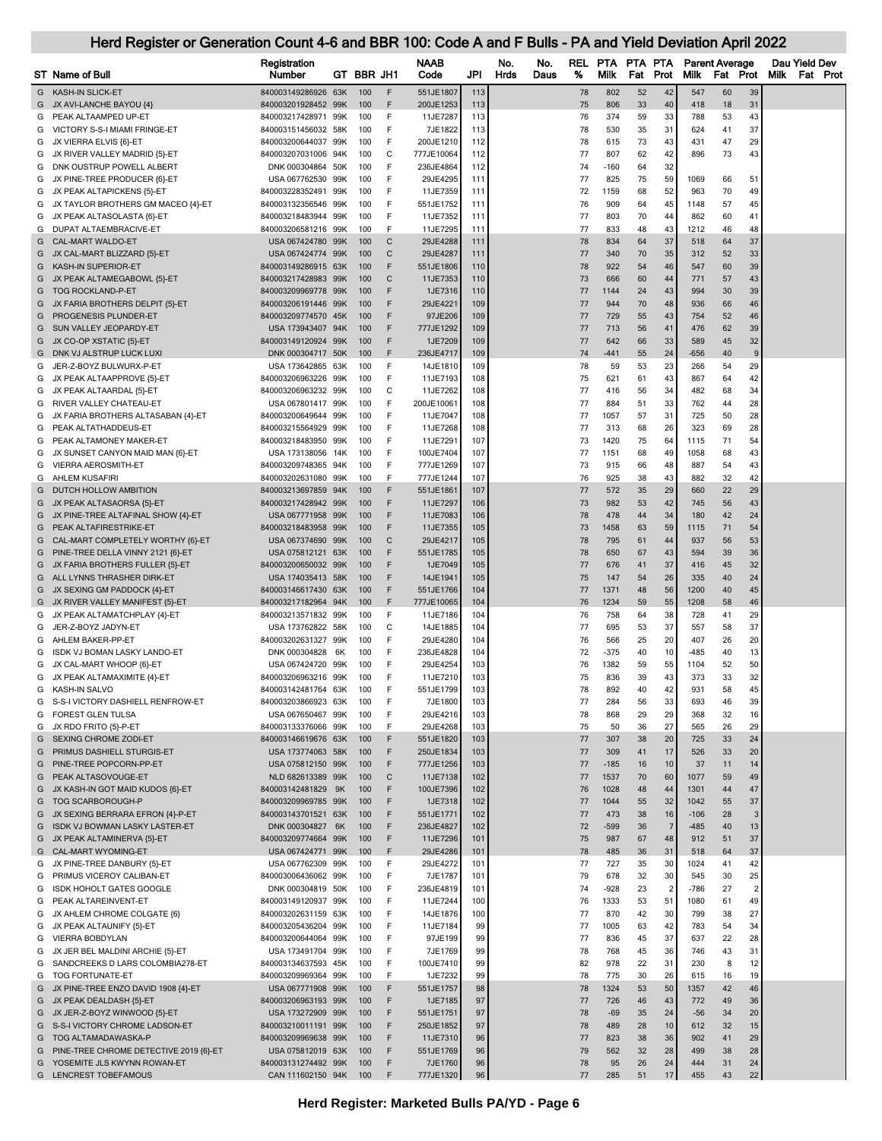## Registration **NAAB** No. No. REL PTA PTA Parent Average Dau Yield Dev<br>Number GT BBR JH1 Code JPI Hrds Daus % Milk Fat Prot Milk Fat Prot Milk Fat Pro ST Name of Bull Number GT BBR JH1 Code JPI Hrds Daus % Milk Fat Prot Milk Fat Prot Milk Fat Prot G KASH-IN SLICK-ET 840003149286926 63K 100 F 551JE1807 113 78 802 52 42 547 60 39 G JX AVI-LANCHE BAYOU {4} 840003201928452 99K 100 F 200JE1253 113 75 806 33 40 418 18 31 G PEAK ALTAAMPED UP-ET 840003217428971 99K 100 F 11JE7287 113 76 374 59 33 788 53 43 G VICTORY S-S-I MIAMI FRINGE-ET 840003151456032 58K 100 F 7JE1822 113 78 530 35 31 624 41 37 G JX VIERRA ELVIS {6}-ET 840003200644037 99K 100 F 200JE1210 112 78 615 73 43 431 47 29 G JX RIVER VALLEY MADRID {5}-ET 840003207031006 94K 100 C 777JE10064 | 112 | 77 807 62 42 | 896 73 43 G DNK OUSTRUP POWELL ALBERT **DNK 000304864 50K 100 F** 236JE4864 112 74 -160 64 32 G JX PINE-TREE PRODUCER {6}-ET USA 067762530 99K 100 F 29JE4295 111 77 825 75 59 1069 66 51 G JX PEAK ALTAPICKENS {5}-ET 840003228352491 99K 100 F 11JE7359 111 72 1159 68 52 963 70 49 G JX TAYLOR BROTHERS GM MACEO {4}-ET 840003132356546 99K 100 F 551JE1752 111 76 909 64 45 1148 57 45 G JX PEAK ALTASOLASTA {6}-ET 840003218483944 99K 100 F 11JE7352 111 77 803 70 44 862 60 41 G DUPAT ALTAEMBRACIVE-ET 840003206581216 99K 100 F 11JE7295 111 77 833 48 43 1212 46 48 G CAL-MART WALDO-ET USA 067424780 99K 100 C 29JE4288 111 78 834 64 37 518 64 37 G JX CAL-MART BLIZZARD {5}-ET USA 067424774 99K 100 C 29JE4287 111 7 7 340 70 35 312 52 33 G KASH-IN SUPERIOR-ET 840003149286915 63K 100 F 551JE1806 110 78 922 54 46 547 60 39 G JX PEAK ALTAMEGABOWL {5}-ET 840003217428983 99K 100 C 11JE7353 110 73 666 60 44 771 57 43 G TOG ROCKLAND-P-ET 840003209969778 99K 100 F 1JE7316 | 110 | 77 1144 24 43 | 994 30 39 G JX FARIA BROTHERS DELPIT {5}-ET 840003206191446 99K 100 F 29JE4221 109 77 944 70 48 936 66 46 G PROGENESIS PLUNDER-ET 840003209774570 45K 100 F 97JE206 109 77 729 55 43 754 52 46 G SUN VALLEY JEOPARDY-ET USA 173943407 94K 100 F 777JE1292 109 77 713 56 41 476 62 39 G JX CO-OP XSTATIC {5}-ET 840003149120924 99K 100 F 1JE7209 109 77 642 66 33 589 45 32 G DNK VJALSTRUP LUCK LUXI DNA 200304717 50K 100 F 236JE4717 109 74 -441 55 24 -656 40 G JER-Z-BOYZ BULWURX-P-ET USA 173642865 63K 100 F 14JE1810 109 78 59 53 23 266 54 29 G JX PEAK ALTAAPPROVE {5}-ET 8400003206963226 99K 100 F 11JE7193 108 75 621 61 43 867 64 42 G JX PEAK ALTAARDAL {5}-ET 840003206963232 99K 100 C 11JE7262 108 77 416 56 34 482 68 34 G RIVER VALLEY CHATEAU-ET USA 067801417 99K 100 F 200JE10061 108 77 884 51 33 762 44 28 G JX FARIA BROTHERS ALTASABAN {4}-ET 840003200649644 99K 100 F 11JE7047 108 77 1057 57 31 725 50 28 G PEAK ALTATHADDEUS-ET 840003215564929 99K 100 F 11JE7268| 108| 77 313 68 26| 323 69 28 G PEAK ALTAMONEY MAKER-ET 640003218483950 99K 100 F 11JE7291 107 73 1420 75 64 1115 71 54 G JX SUNSET CANYON MAID MAN {6}-ET USA 173138056 14K 100 F 100JE7404 107 7 1151 68 49 1058 68 43 G VIERRA AEROSMITH-ET 840003209748365 94K 100 F 777JE1269 | 107 | 73 915 66 48 | 887 54 43 G AHLEM KUSAFIRI 840003202631080 99K 100 F 777JE1244| 107| 76 925 38 43| 882 32 42 G DUTCH HOLLOW AMBITION 840003213697859 94K 100 F 551JE1861 107 7 7 572 35 29 660 22 29 G JX PEAK ALTASAORSA {5}-ET 840003217428942 99K 100 F 11JE7297 106 73 982 53 42 745 56 43 G JX PINE-TREE ALTAFINAL SHOW {4}-ET USA 067771958 99K 100 F 11JE7083 | 106 | 78 478 44 34 | 180 42 24 G PEAK ALTAFIRESTRIKE-ET 840003218483958 99K 100 F 11JE7355 105 73 1458 63 59 1115 71 54 G CAL-MART COMPLETELY WORTHY {6}-ET USA 067374690 99K 100 C 29JE4217 105 78 795 61 44 937 56 53 G PINE-TREE DELLA VINNY 2121 (6)-ET USA 075812121 63K 100 F 551JE1785 105 78 650 67 43 594 39 36 G JX FARIA BROTHERS FULLER {5}-ET 840003200650032 99K 100 F 1JE7049 105 77 676 41 37 416 45 32 G ALL LYNNS THRASHER DIRK-ET USA 174035413 58K 100 F 14JF1941 105 75 147 54 26 335 40 24 G JX SEXING GM PADDOCK (4)-ET 840003146617430 63K 100 F 551JE1766 104 77 1371 48 56 1200 40 45 G JX RIVER VALLEY MANIFEST (5)-ET 840003217182964 94K 100 F 777JE10065 104 76 1234 59 55 1208 58 46 G JX PEAK ALTAMATCHPLAY (4)-ET 840003213571832 99K 100 F 11JE7186 104 76 758 64 38 728 41 29 G JER-Z-BOYZ JADYN-ET USA 173762822 58K 100 C 14JE1885 104 77 695 53 37 557 58 37 G AHLEM BAKER-PP-ET 840003202631327 99K 100 F 29JE4280 | 104 | 76 566 25 20 | 407 26 20 G ISDK VJ BOMAN LASKY LANDO-ET DNK 000304828 6K 100 F 236JE4828 104 72 -375 40 10 -485 40 13 G JX CAL-MART WHOOP {6}-ET USA 067424720 99K 100 F 29JE4254 103 76 1382 59 55 1104 52 50 G JX PEAK ALTAMAXIMITE {4}-ET 840003206963216 99K 100 F 11JE7210 103 75 836 39 43 373 33 32 G KASH-IN SALVO 840003142481764 63K 100 F 551JE1799 103 78 892 40 42 931 58 45 G S-S-I VICTORY DASHIELL RENFROW-ET 840003203866923 63K 100 F 7JE1800 103 77 284 56 33 693 46 39 G FOREST GLEN TULSA USA 067650467 99K 100 F 29JE4216 103 78 868 29 29 368 32 16 G JX RDO FRITO {5}-P-ET 840003133376066 99K 100 F 29JE4268 103 75 50 36 27 565 26 29 G SEXING CHROME ZODI-ET 840003146619676 63K 100 F 551JE1820 103 77 307 38 20 725 33 24 G PRIMUS DASHIELL STURGIS-ET USA 173774063 58K 100 F 250JE1834 103 77 309 41 17 526 33 20 G PINE-TREE POPCORN-PP-ET USA 075812150 99K 100 F 777JE1256 103 77 -185 16 10 37 11 14 G PEAK ALTASOVOUGE-ET NALD 682613389 99K 100 C 11JE7138 102 77 1537 70 60 1077 59 49 G JX KASH-IN GOT MAID KUDOS {6}-ET 840003142481829 9K 100 F 100JE7396 102 76 1028 48 44 1301 44 47 G TOG SCARBOROUGH-P 840003209969785 99K 100 F 1JE7318 102 77 1044 55 32 1042 55 37 G JX SEXING BERRARA EFRON {4}-P-ET 840003143701521 63K 100 F 551JE1771 102 71 473 38 16 -106 28 G ISDK VJ BOWMAN LASKY LASTER-ET DNK 000304827 6K 100 F 236JE4827 102 72 -599 36 7 -485 40 13 G JX PEAK ALTAMINERVA {5}-ET 840003209774664 99K 100 F 11JE7296 101 75 987 67 48 912 51 37 G CAL-MART WYOMING-ET USA 067424771 99K 100 F 29JE4286 101 78 485 36 31 518 64 37 G JX PINE-TREE DANBURY {5}-ET USA 067762309 99K 100 F 29JE4272 101 77 727 35 30 1024 41 42 G PRIMUS VICEROY CALIBAN-ET 840003006436062 99K 100 F 7JE1787 101 79 678 32 30 545 30 25 G ISDK HOHOLT GATES GOOGLE DNK 000304819 50K 100 F 236JE4819 101 74 -928 23 2 -786 27 2 G PEAK ALTAREINVENT-ET 840003149120937 99K 100 F 11JE7244 100 76 1333 53 51 1080 61 49 G JX AHLEM CHROME COLGATE {6} 840003202631159 63K 100 F 14JE1876 100 77 870 42 30 799 38 27 G JX PEAK ALTAUNIFY (5)-ET 840003205436204 99K 100 F 11JE7184 99 77 1005 63 42 783 54 34 G VIERRA BOBDYLAN 840003200644064 99K 100 F 97JE199 | 99 | 77 836 45 37 | 637 22 28 G JX JER BEL MALDINI ARCHIE {5}-ET USA 173491704 99K 100 F 7JE1769 99 78 768 45 36 746 43 31 G SANDCREEKS DIARS COLOMBIA278-ET 840003134637593 45K 100 F 100JE7410 99 82 978 22 31 230 8 12 G TOG FORTUNATE-ET 840003209969364 99K 100 F 1JE7232 99 78 775 30 26 615 16 19 G JX PINE-TREE ENZO DAVID 1908 (4)-ET USA 067771908 99K 100 F 551JE1757 98 78 77 1324 53 50 1357 42 46 G JX PEAK DEALDASH {5}-ET 840003206963193 99K 100 F 1JE7185 97 77 726 46 43 772 49 36 G JX JER-Z-BOYZ WINWOOD {5}-ET USA 173272909 99K 100 F 551JE1751 97 78 -69 35 24 -56 34 20 G S-S-I VICTORY CHROME LADSON-ET 840003210011191 99K 100 F 250JE1852 97 78 489 28 10 612 32 15 G TOG ALTAMADAWASKA-P 840003209969638 99K 100 F 11JE7310 96 77 823 38 36 902 41 29 G PINE-TREE CHROME DETECTIVE 2019 {6}-ET USA 075812019 63K 100 F 551JE1769 96 79 562 32 28 499 38 28 G YOSEMITE JLS KWYNN ROWAN-ET 840003131274492 99K 100 F 7JE1760 96 78 95 26 24 444 31 24

Herd Register or Generation Count 4-6 and BBR 100: Code A and F Bulls - PA and Yield Deviation April 2022

G LENCREST TOBEFAMOUS CAN 111602150 94K 100 F 777JE1320 96 77 285 51 17 455 43 22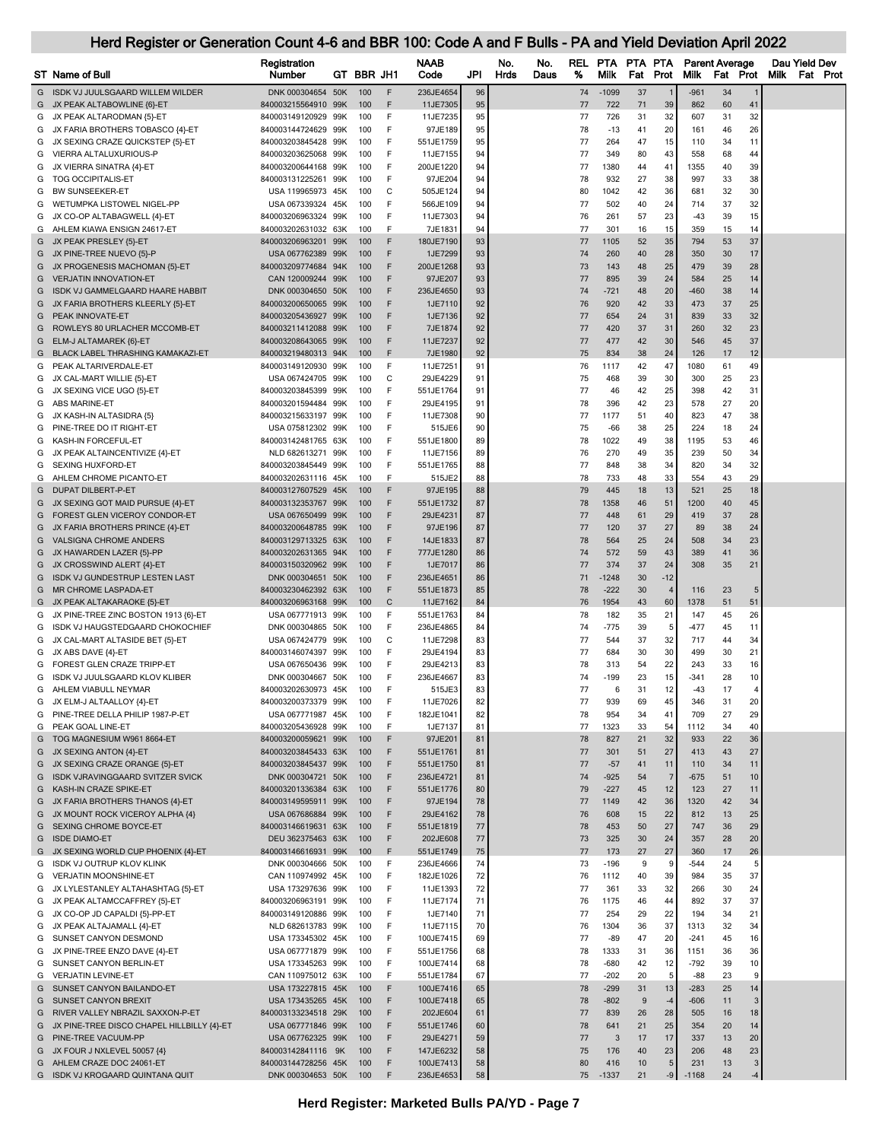|        | <b>ST</b> Name of Bull                                                   | Registration<br>Number                     | GT BBR JH1 |        | NAAB<br>Code           | JPI      | No.<br><b>Hrds</b> | No.<br>Daus | REL<br>% | <b>PTA</b><br>Milk | PTA PTA<br>Fat | Prot           | <b>Parent Average</b><br><b>Milk</b> | Fat Prot |              | Dau Yield Dev<br><b>Milk</b> | <b>Fat Prot</b> |
|--------|--------------------------------------------------------------------------|--------------------------------------------|------------|--------|------------------------|----------|--------------------|-------------|----------|--------------------|----------------|----------------|--------------------------------------|----------|--------------|------------------------------|-----------------|
| G      | ISDK VJ JUULSGAARD WILLEM WILDER                                         | DNK 000304654 50K                          | 100        | F      | 236JE4654              | 96       |                    |             | 74       | $-1099$            | 37             |                | $-961$                               | 34       |              |                              |                 |
|        | G JX PEAK ALTABOWLINE {6}-ET                                             | 840003215564910 99K                        | 100        | F      | 11JE7305               | 95       |                    |             | 77       | 722                | 71             | 39             | 862                                  | 60       | 41           |                              |                 |
| G      | JX PEAK ALTARODMAN {5}-ET                                                | 840003149120929 99K                        | 100        | F      | 11JE7235               | 95       |                    |             | 77       | 726                | 31             | 32             | 607                                  | 31       | 32           |                              |                 |
| G      | JX FARIA BROTHERS TOBASCO {4}-ET                                         | 840003144724629 99K                        | 100        | F      | 97JE189                | 95       |                    |             | 78       | $-13$              | 41             | 20             | 161                                  | 46       | 26           |                              |                 |
| G      | JX SEXING CRAZE QUICKSTEP {5}-ET                                         | 840003203845428 99K                        | 100        | F      | 551JE1759              | 95       |                    |             | 77       | 264                | 47             | 15             | 110                                  | 34       | 11           |                              |                 |
| G      | VIERRA ALTALUXURIOUS-P                                                   | 840003203625068 99K                        | 100        | F      | 11JE7155               | 94       |                    |             | 77       | 349                | 80             | 43             | 558                                  | 68       | 44           |                              |                 |
| G      | JX VIERRA SINATRA {4}-ET                                                 | 840003200644168 99K                        | 100        | F      | 200JE1220              | 94       |                    |             | 77       | 1380               | 44             | 41             | 1355                                 | 40       | 39           |                              |                 |
| G      | <b>TOG OCCIPITALIS-ET</b><br>BW SUNSEEKER-ET                             | 840003131225261 99K                        | 100<br>100 | F<br>C | 97JE204<br>505JE124    | 94<br>94 |                    |             | 78<br>80 | 932<br>1042        | 27<br>42       | 38<br>36       | 997<br>681                           | 33<br>32 | 38<br>30     |                              |                 |
| G<br>G | WETUMPKA LISTOWEL NIGEL-PP                                               | USA 119965973 45K<br>USA 067339324 45K     | 100        | F      | 566JE109               | 94       |                    |             | 77       | 502                | 40             | 24             | 714                                  | 37       | 32           |                              |                 |
| G      | JX CO-OP ALTABAGWELL {4}-ET                                              | 840003206963324 99K                        | 100        | F      | 11JE7303               | 94       |                    |             | 76       | 261                | 57             | 23             | -43                                  | 39       | 15           |                              |                 |
| G      | AHLEM KIAWA ENSIGN 24617-ET                                              | 840003202631032 63K                        | 100        | F      | 7JE1831                | 94       |                    |             | 77       | 301                | 16             | 15             | 359                                  | 15       | 14           |                              |                 |
| G      | JX PEAK PRESLEY {5}-ET                                                   | 840003206963201 99K                        | 100        | F      | 180JE7190              | 93       |                    |             | 77       | 1105               | 52             | 35             | 794                                  | 53       | 37           |                              |                 |
| G      | JX PINE-TREE NUEVO {5}-P                                                 | USA 067762389 99K                          | 100        | F      | 1JE7299                | 93       |                    |             | 74       | 260                | 40             | 28             | 350                                  | 30       | 17           |                              |                 |
| G      | JX PROGENESIS MACHOMAN {5}-ET                                            | 840003209774684 94K                        | 100        | F      | 200JE1268              | 93       |                    |             | 73       | 143                | 48             | 25             | 479                                  | 39       | 28           |                              |                 |
| G      | <b>VERJATIN INNOVATION-ET</b>                                            | CAN 120009244 99K                          | 100        | F      | 97JE207                | 93       |                    |             | 77       | 895                | 39             | 24             | 584                                  | 25       | 14           |                              |                 |
| G      | ISDK VJ GAMMELGAARD HAARE HABBIT                                         | DNK 000304650 50K                          | 100        | F      | 236JE4650              | 93       |                    |             | 74       | $-721$             | 48             | 20             | $-460$                               | 38       | 14           |                              |                 |
| G      | JX FARIA BROTHERS KLEERLY {5}-ET                                         | 840003200650065 99K                        | 100        | F      | 1JE7110                | 92       |                    |             | 76       | 920                | 42             | 33             | 473                                  | 37       | 25           |                              |                 |
| G      | PEAK INNOVATE-ET                                                         | 840003205436927 99K                        | 100        | F      | 1JE7136                | 92       |                    |             | 77       | 654                | 24             | 31             | 839                                  | 33       | 32           |                              |                 |
| G      | ROWLEYS 80 URLACHER MCCOMB-ET                                            | 840003211412088 99K                        | 100        | F      | 7JE1874                | 92       |                    |             | 77       | 420                | 37             | 31             | 260                                  | 32       | 23           |                              |                 |
| G      | ELM-J ALTAMAREK {6}-ET                                                   | 840003208643065 99K                        | 100        | F      | 11JE7237               | 92       |                    |             | 77       | 477                | 42             | 30             | 546                                  | 45       | 37           |                              |                 |
| G      | BLACK LABEL THRASHING KAMAKAZI-ET                                        | 840003219480313 94K                        | 100        | F      | 7JE1980                | 92       |                    |             | 75       | 834                | 38             | 24             | 126                                  | 17       | 12           |                              |                 |
| G      | PEAK ALTARIVERDALE-ET                                                    | 840003149120930 99K                        | 100        | F      | 11JE7251               | 91       |                    |             | 76       | 1117               | 42             | 47             | 1080                                 | 61       | 49           |                              |                 |
| G      | JX CAL-MART WILLIE {5}-ET                                                | USA 067424705 99K                          | 100        | C      | 29JE4229               | 91       |                    |             | 75       | 468                | 39             | 30             | 300                                  | 25       | 23           |                              |                 |
| G<br>G | JX SEXING VICE UGO {5}-ET<br>ABS MARINE-ET                               | 840003203845399 99K<br>840003201594484 99K | 100<br>100 | F<br>F | 551JE1764<br>29JE4195  | 91<br>91 |                    |             | 77<br>78 | 46<br>396          | 42<br>42       | 25<br>23       | 398<br>578                           | 42<br>27 | 31<br>20     |                              |                 |
| G      | JX KASH-IN ALTASIDRA {5}                                                 | 840003215633197 99K                        | 100        | F      | 11JE7308               | 90       |                    |             | 77       | 1177               | 51             | 40             | 823                                  | 47       | 38           |                              |                 |
| G      | PINE-TREE DO IT RIGHT-ET                                                 | USA 075812302 99K                          | 100        | F      | 515JE6                 | 90       |                    |             | 75       | $-66$              | 38             | 25             | 224                                  | 18       | 24           |                              |                 |
| G      | KASH-IN FORCEFUL-ET                                                      | 840003142481765 63K                        | 100        | F      | 551JE1800              | 89       |                    |             | 78       | 1022               | 49             | 38             | 1195                                 | 53       | 46           |                              |                 |
| G      | JX PEAK ALTAINCENTIVIZE {4}-ET                                           | NLD 682613271 99K                          | 100        | F      | 11JE7156               | 89       |                    |             | 76       | 270                | 49             | 35             | 239                                  | 50       | 34           |                              |                 |
| G      | <b>SEXING HUXFORD-ET</b>                                                 | 840003203845449 99K                        | 100        | F      | 551JE1765              | 88       |                    |             | 77       | 848                | 38             | 34             | 820                                  | 34       | 32           |                              |                 |
| G      | AHLEM CHROME PICANTO-ET                                                  | 840003202631116 45K                        | 100        | F      | 515JE2                 | 88       |                    |             | 78       | 733                | 48             | 33             | 554                                  | 43       | 29           |                              |                 |
| G      | DUPAT DILBERT-P-ET                                                       | 840003127607529 45K                        | 100        | F      | 97JE195                | 88       |                    |             | 79       | 445                | 18             | 13             | 521                                  | 25       | 18           |                              |                 |
| G      | JX SEXING GOT MAID PURSUE {4}-ET                                         | 840003132353767 99K                        | 100        | F      | 551JE1732              | 87       |                    |             | 78       | 1358               | 46             | 51             | 1200                                 | 40       | 45           |                              |                 |
| G      | FOREST GLEN VICEROY CONDOR-ET                                            | USA 067650499 99K                          | 100        | F      | 29JE4231               | 87       |                    |             | 77       | 448                | 61             | 29             | 419                                  | 37       | 28           |                              |                 |
| G      | JX FARIA BROTHERS PRINCE {4}-ET                                          | 840003200648785 99K                        | 100        | F      | 97JE196                | 87       |                    |             | 77       | 120                | 37             | 27             | 89                                   | 38       | 24           |                              |                 |
| G      | VALSIGNA CHROME ANDERS                                                   | 840003129713325 63K                        | 100        | F      | 14JE1833               | 87       |                    |             | 78       | 564                | 25             | 24             | 508                                  | 34       | 23           |                              |                 |
| G      | JX HAWARDEN LAZER {5}-PP                                                 | 840003202631365 94K                        | 100        | F      | 777JE1280              | 86       |                    |             | 74       | 572                | 59             | 43             | 389                                  | 41       | 36           |                              |                 |
| G      | JX CROSSWIND ALERT {4}-ET                                                | 840003150320962 99K                        | 100        | F      | 1JE7017                | 86       |                    |             | 77       | 374                | 37             | 24             | 308                                  | 35       | 21           |                              |                 |
| G      | <b>ISDK VJ GUNDESTRUP LESTEN LAST</b>                                    | DNK 000304651 50K                          | 100        | F      | 236JE4651              | 86       |                    |             | 71       | -1248              | 30             | $-12$          |                                      |          |              |                              |                 |
| G      | MR CHROME LASPADA-ET                                                     | 840003230462392 63K                        | 100        | F      | 551JE1873              | 85       |                    |             | 78       | $-222$             | 30             | $\overline{4}$ | 116                                  | 23       |              |                              |                 |
| G      | G JX PEAK ALTAKARAOKE {5}-ET                                             | 840003206963168 99K<br>USA 067771913 99K   | 100<br>100 | C<br>F | 11JE7162<br>551JE1763  | 84<br>84 |                    |             | 76<br>78 | 1954<br>182        | 43<br>35       | 60<br>21       | 1378<br>147                          | 51<br>45 | 51<br>26     |                              |                 |
| G      | JX PINE-TREE ZINC BOSTON 1913 {6}-ET<br>ISDK VJ HAUGSTEDGAARD CHOKOCHIEF | DNK 000304865 50K                          | 100        | F      | 236JE4865              | 84       |                    |             | 74       | -775               | 39             | 5              | -477                                 | 45       | 11           |                              |                 |
| G      | JX CAL-MART ALTASIDE BET {5}-ET                                          | USA 067424779 99K                          | 100        | C      | 11JE7298               | 83       |                    |             | 77       | 544                | 37             | 32             | 717                                  | 44       | 34           |                              |                 |
| G      | JX ABS DAVE {4}-ET                                                       | 840003146074397 99K                        | 100        | F      | 29JE4194               | 83       |                    |             | 77       | 684                | 30             | 30             | 499                                  | 30       | 21           |                              |                 |
| G      | FOREST GLEN CRAZE TRIPP-ET                                               | USA 067650436 99K                          | 100        | F      | 29JE4213               | 83       |                    |             | 78       | 313                | 54             | 22             | 243                                  | 33       | 16           |                              |                 |
| G      | ISDK VJ JUULSGAARD KLOV KLIBER                                           | DNK 000304667 50K                          | 100        | F      | 236JE4667              | 83       |                    |             | 74       | -199               | 23             | 15             | -341                                 | 28       | 10           |                              |                 |
| G      | AHLEM VIABULL NEYMAR                                                     | 840003202630973 45K                        | 100        | F      | 515JE3                 | 83       |                    |             | 77       | 6                  | 31             | 12             | $-43$                                | 17       | 4            |                              |                 |
| G      | JX ELM-J ALTAALLOY {4}-ET                                                | 840003200373379 99K                        | 100        | F      | 11JE7026               | 82       |                    |             | 77       | 939                | 69             | 45             | 346                                  | 31       | 20           |                              |                 |
| G      | PINE-TREE DELLA PHILIP 1987-P-ET                                         | USA 067771987 45K                          | 100        | F      | 182JE1041              | 82       |                    |             | 78       | 954                | 34             | 41             | 709                                  | 27       | 29           |                              |                 |
| G      | PEAK GOAL LINE-ET                                                        | 840003205436928 99K                        | 100        | F      | 1JE7137                | 81       |                    |             | 77       | 1323               | 33             | 54             | 1112                                 | 34       | 40           |                              |                 |
| G      | TOG MAGNESIUM W961 8664-ET                                               | 840003200059621 99K                        | 100        | F      | 97JE201                | 81       |                    |             | 78       | 827                | 21             | 32             | 933                                  | 22       | 36           |                              |                 |
| G      | JX SEXING ANTON {4}-ET                                                   | 840003203845433 63K                        | 100        | F      | 551JE1761              | 81       |                    |             | 77       | 301                | 51             | 27             | 413                                  | 43       | 27           |                              |                 |
| G      | JX SEXING CRAZE ORANGE {5}-ET<br><b>ISDK VJRAVINGGAARD SVITZER SVICK</b> | 840003203845437 99K                        | 100        | F<br>F | 551JE1750              | 81       |                    |             | 77       | $-57$              | 41             | 11<br>7        | 110                                  | 34       | 11           |                              |                 |
| G<br>G | KASH-IN CRAZE SPIKE-ET                                                   | DNK 000304721 50K<br>840003201336384 63K   | 100<br>100 | F      | 236JE4721<br>551JE1776 | 81<br>80 |                    |             | 74<br>79 | $-925$<br>$-227$   | 54<br>45       | 12             | $-675$<br>123                        | 51<br>27 | 10<br>11     |                              |                 |
| G      | JX FARIA BROTHERS THANOS {4}-ET                                          | 840003149595911 99K                        | 100        | F      | 97JE194                | 78       |                    |             | 77       | 1149               | 42             | 36             | 1320                                 | 42       | 34           |                              |                 |
| G      | JX MOUNT ROCK VICEROY ALPHA {4}                                          | USA 067686884 99K                          | 100        | F      | 29JE4162               | 78       |                    |             | 76       | 608                | 15             | 22             | 812                                  | 13       | 25           |                              |                 |
| G      | SEXING CHROME BOYCE-ET                                                   | 840003146619631 63K                        | 100        | F      | 551JE1819              | 77       |                    |             | 78       | 453                | 50             | 27             | 747                                  | 36       | 29           |                              |                 |
| G      | <b>ISDE DIAMO-ET</b>                                                     | DEU 362375463 63K                          | 100        | F      | 202JE608               | 77       |                    |             | 73       | 325                | 30             | 24             | 357                                  | 28       | 20           |                              |                 |
| G      | JX SEXING WORLD CUP PHOENIX {4}-ET                                       | 840003146616931 99K                        | 100        | F      | 551JE1749              | 75       |                    |             | 77       | 173                | 27             | 27             | 360                                  | 17       | 26           |                              |                 |
| G      | <b>ISDK VJ OUTRUP KLOV KLINK</b>                                         | DNK 000304666 50K                          | 100        | F      | 236JE4666              | 74       |                    |             | 73       | $-196$             | 9              | 9              | $-544$                               | 24       | 5            |                              |                 |
| G      | VERJATIN MOONSHINE-ET                                                    | CAN 110974992 45K                          | 100        | F      | 182JE1026              | 72       |                    |             | 76       | 1112               | 40             | 39             | 984                                  | 35       | 37           |                              |                 |
| G      | JX LYLESTANLEY ALTAHASHTAG {5}-ET                                        | USA 173297636 99K                          | 100        | F      | 11JE1393               | 72       |                    |             | 77       | 361                | 33             | 32             | 266                                  | 30       | 24           |                              |                 |
| G      | JX PEAK ALTAMCCAFFREY {5}-ET                                             | 840003206963191 99K                        | 100        | F      | 11JE7174               | 71       |                    |             | 76       | 1175               | 46             | 44             | 892                                  | 37       | 37           |                              |                 |
| G      | JX CO-OP JD CAPALDI {5}-PP-ET                                            | 840003149120886 99K                        | 100        | F      | 1JE7140                | 71       |                    |             | 77       | 254                | 29             | 22             | 194                                  | 34       | 21           |                              |                 |
| G      | JX PEAK ALTAJAMALL {4}-ET                                                | NLD 682613783 99K                          | 100        | F      | 11JE7115               | 70       |                    |             | 76       | 1304               | 36             | 37             | 1313                                 | 32       | 34           |                              |                 |
| G      | SUNSET CANYON DESMOND                                                    | USA 173345302 45K                          | 100        | F      | 100JE7415              | 69       |                    |             | 77       | $-89$              | 47             | 20             | $-241$                               | 45       | 16           |                              |                 |
| G      | JX PINE-TREE ENZO DAVE {4}-ET                                            | USA 067771879 99K                          | 100        | F      | 551JE1756              | 68       |                    |             | 78       | 1333               | 31             | 36             | 1151                                 | 36       | 36           |                              |                 |
| G      | SUNSET CANYON BERLIN-ET                                                  | USA 173345263 99K                          | 100        | F      | 100JE7414              | 68       |                    |             | 78       | $-680$             | 42             | 12             | $-792$                               | 39       | 10           |                              |                 |
| G      | <b>VERJATIN LEVINE-ET</b>                                                | CAN 110975012 63K                          | 100        | F      | 551JE1784              | 67       |                    |             | 77       | $-202$             | 20             | 5              | $-88$                                | 23       | 9            |                              |                 |
| G      | SUNSET CANYON BAILANDO-ET                                                | USA 173227815 45K                          | 100        | F      | 100JE7416              | 65       |                    |             | 78       | $-299$             | 31             | 13             | $-283$                               | 25       | 14           |                              |                 |
| G      | SUNSET CANYON BREXIT                                                     | USA 173435265 45K                          | 100        | F      | 100JE7418              | 65       |                    |             | 78       | $-802$             | 9              | $-4$           | $-606$                               | 11       | 3            |                              |                 |
| G      | G RIVER VALLEY NBRAZIL SAXXON-P-ET                                       | 840003133234518 29K                        | 100<br>100 | F<br>F | 202JE604<br>551JE1746  | 61<br>60 |                    |             | 77<br>78 | 839<br>641         | 26<br>21       | 28<br>25       | 505<br>354                           | 16<br>20 | 18<br>14     |                              |                 |
| G      | JX PINE-TREE DISCO CHAPEL HILLBILLY {4}-ET<br>PINE-TREE VACUUM-PP        | USA 067771846 99K<br>USA 067762325 99K     | 100        | F      | 29JE4271               | 59       |                    |             | 77       | 3                  | 17             | 17             | 337                                  | 13       | 20           |                              |                 |
| G      | JX FOUR J NXLEVEL 50057 {4}                                              | 840003142841116 9K                         | 100        | F      | 147JE6232              | 58       |                    |             | 75       | 176                | 40             | 23             | 206                                  | 48       | 23           |                              |                 |
| G      | AHLEM CRAZE DOC 24061-ET                                                 | 840003144728256 45K                        | 100        | F      | 100JE7413              | 58       |                    |             | 80       | 416                | 10             | 5              | 231                                  | 13       | $\mathbf{3}$ |                              |                 |
|        | G ISDK VJ KROGAARD QUINTANA QUIT                                         | DNK 000304653 50K                          | 100        | F      | 236JE4653              | 58       |                    |             | 75       | $-1337$            | 21             | $-9$           | $-1168$                              | 24       | $-4$         |                              |                 |